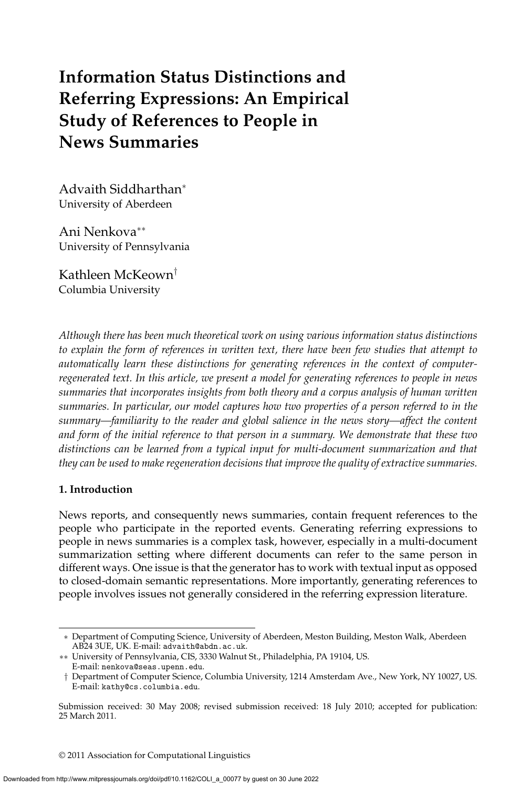# **Information Status Distinctions and Referring Expressions: An Empirical Study of References to People in News Summaries**

Advaith Siddharthan<sup>∗</sup> University of Aberdeen

Ani Nenkova∗∗ University of Pennsylvania

Kathleen McKeown† Columbia University

*Although there has been much theoretical work on using various information status distinctions to explain the form of references in written text, there have been few studies that attempt to automatically learn these distinctions for generating references in the context of computerregenerated text. In this article, we present a model for generating references to people in news summaries that incorporates insights from both theory and a corpus analysis of human written summaries. In particular, our model captures how two properties of a person referred to in the summary—familiarity to the reader and global salience in the news story—affect the content and form of the initial reference to that person in a summary. We demonstrate that these two distinctions can be learned from a typical input for multi-document summarization and that they can be used to make regeneration decisions that improve the quality of extractive summaries.*

# **1. Introduction**

News reports, and consequently news summaries, contain frequent references to the people who participate in the reported events. Generating referring expressions to people in news summaries is a complex task, however, especially in a multi-document summarization setting where different documents can refer to the same person in different ways. One issue is that the generator has to work with textual input as opposed to closed-domain semantic representations. More importantly, generating references to people involves issues not generally considered in the referring expression literature.

<sup>∗</sup> Department of Computing Science, University of Aberdeen, Meston Building, Meston Walk, Aberdeen AB24 3UE, UK. E-mail: advaith@abdn.ac.uk.

<sup>∗∗</sup> University of Pennsylvania, CIS, 3330 Walnut St., Philadelphia, PA 19104, US. E-mail: nenkova@seas.upenn.edu.

<sup>†</sup> Department of Computer Science, Columbia University, 1214 Amsterdam Ave., New York, NY 10027, US. E-mail: kathy@cs.columbia.edu.

Submission received: 30 May 2008; revised submission received: 18 July 2010; accepted for publication: 25 March 2011.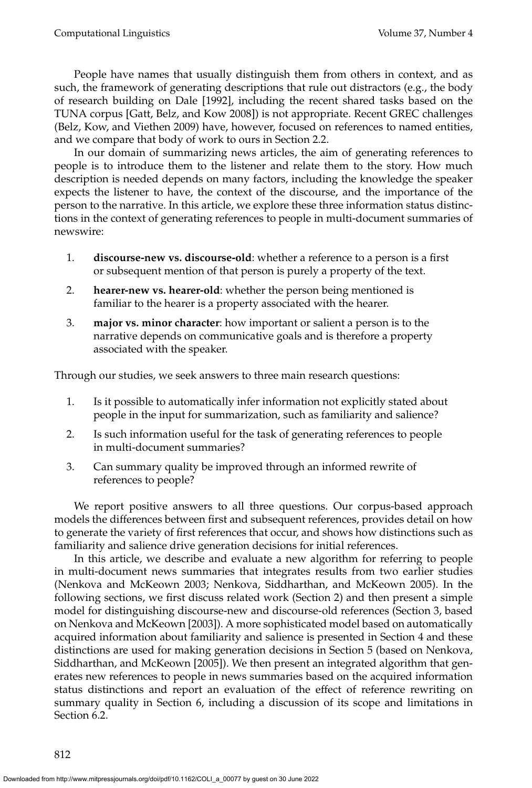People have names that usually distinguish them from others in context, and as such, the framework of generating descriptions that rule out distractors (e.g., the body of research building on Dale [1992], including the recent shared tasks based on the TUNA corpus [Gatt, Belz, and Kow 2008]) is not appropriate. Recent GREC challenges (Belz, Kow, and Viethen 2009) have, however, focused on references to named entities, and we compare that body of work to ours in Section 2.2.

In our domain of summarizing news articles, the aim of generating references to people is to introduce them to the listener and relate them to the story. How much description is needed depends on many factors, including the knowledge the speaker expects the listener to have, the context of the discourse, and the importance of the person to the narrative. In this article, we explore these three information status distinctions in the context of generating references to people in multi-document summaries of newswire:

- 1. **discourse-new vs. discourse-old**: whether a reference to a person is a first or subsequent mention of that person is purely a property of the text.
- 2. **hearer-new vs. hearer-old**: whether the person being mentioned is familiar to the hearer is a property associated with the hearer.
- 3. **major vs. minor character**: how important or salient a person is to the narrative depends on communicative goals and is therefore a property associated with the speaker.

Through our studies, we seek answers to three main research questions:

- 1. Is it possible to automatically infer information not explicitly stated about people in the input for summarization, such as familiarity and salience?
- 2. Is such information useful for the task of generating references to people in multi-document summaries?
- 3. Can summary quality be improved through an informed rewrite of references to people?

We report positive answers to all three questions. Our corpus-based approach models the differences between first and subsequent references, provides detail on how to generate the variety of first references that occur, and shows how distinctions such as familiarity and salience drive generation decisions for initial references.

In this article, we describe and evaluate a new algorithm for referring to people in multi-document news summaries that integrates results from two earlier studies (Nenkova and McKeown 2003; Nenkova, Siddharthan, and McKeown 2005). In the following sections, we first discuss related work (Section 2) and then present a simple model for distinguishing discourse-new and discourse-old references (Section 3, based on Nenkova and McKeown [2003]). A more sophisticated model based on automatically acquired information about familiarity and salience is presented in Section 4 and these distinctions are used for making generation decisions in Section 5 (based on Nenkova, Siddharthan, and McKeown [2005]). We then present an integrated algorithm that generates new references to people in news summaries based on the acquired information status distinctions and report an evaluation of the effect of reference rewriting on summary quality in Section 6, including a discussion of its scope and limitations in Section 6.2.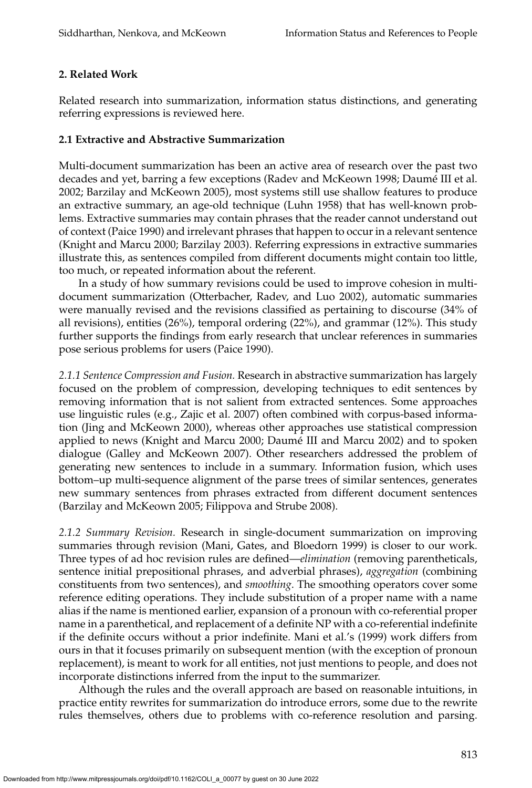## **2. Related Work**

Related research into summarization, information status distinctions, and generating referring expressions is reviewed here.

## **2.1 Extractive and Abstractive Summarization**

Multi-document summarization has been an active area of research over the past two decades and yet, barring a few exceptions (Radev and McKeown 1998; Daumé III et al. 2002; Barzilay and McKeown 2005), most systems still use shallow features to produce an extractive summary, an age-old technique (Luhn 1958) that has well-known problems. Extractive summaries may contain phrases that the reader cannot understand out of context (Paice 1990) and irrelevant phrases that happen to occur in a relevant sentence (Knight and Marcu 2000; Barzilay 2003). Referring expressions in extractive summaries illustrate this, as sentences compiled from different documents might contain too little, too much, or repeated information about the referent.

In a study of how summary revisions could be used to improve cohesion in multidocument summarization (Otterbacher, Radev, and Luo 2002), automatic summaries were manually revised and the revisions classified as pertaining to discourse (34% of all revisions), entities (26%), temporal ordering (22%), and grammar (12%). This study further supports the findings from early research that unclear references in summaries pose serious problems for users (Paice 1990).

*2.1.1 Sentence Compression and Fusion.* Research in abstractive summarization has largely focused on the problem of compression, developing techniques to edit sentences by removing information that is not salient from extracted sentences. Some approaches use linguistic rules (e.g., Zajic et al. 2007) often combined with corpus-based information (Jing and McKeown 2000), whereas other approaches use statistical compression applied to news (Knight and Marcu 2000; Daume III and Marcu 2002) and to spoken ´ dialogue (Galley and McKeown 2007). Other researchers addressed the problem of generating new sentences to include in a summary. Information fusion, which uses bottom–up multi-sequence alignment of the parse trees of similar sentences, generates new summary sentences from phrases extracted from different document sentences (Barzilay and McKeown 2005; Filippova and Strube 2008).

*2.1.2 Summary Revision.* Research in single-document summarization on improving summaries through revision (Mani, Gates, and Bloedorn 1999) is closer to our work. Three types of ad hoc revision rules are defined—*elimination* (removing parentheticals, sentence initial prepositional phrases, and adverbial phrases), *aggregation* (combining constituents from two sentences), and *smoothing*. The smoothing operators cover some reference editing operations. They include substitution of a proper name with a name alias if the name is mentioned earlier, expansion of a pronoun with co-referential proper name in a parenthetical, and replacement of a definite NP with a co-referential indefinite if the definite occurs without a prior indefinite. Mani et al.'s (1999) work differs from ours in that it focuses primarily on subsequent mention (with the exception of pronoun replacement), is meant to work for all entities, not just mentions to people, and does not incorporate distinctions inferred from the input to the summarizer.

Although the rules and the overall approach are based on reasonable intuitions, in practice entity rewrites for summarization do introduce errors, some due to the rewrite rules themselves, others due to problems with co-reference resolution and parsing.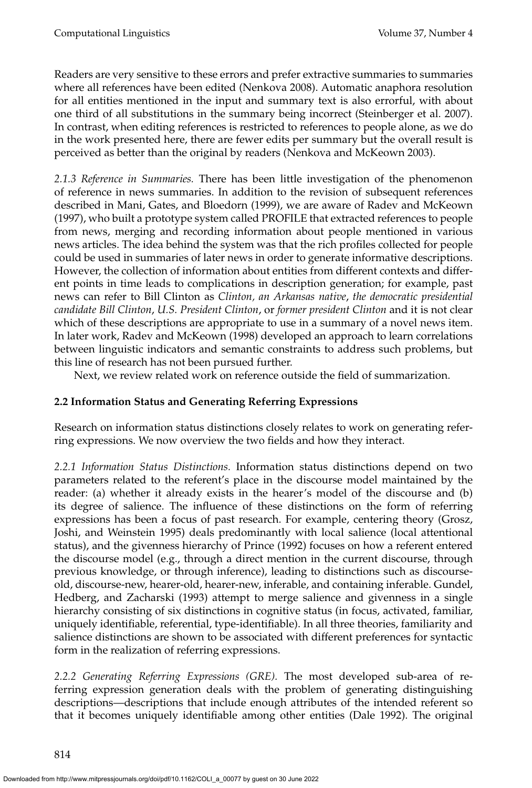Readers are very sensitive to these errors and prefer extractive summaries to summaries where all references have been edited (Nenkova 2008). Automatic anaphora resolution for all entities mentioned in the input and summary text is also errorful, with about one third of all substitutions in the summary being incorrect (Steinberger et al. 2007). In contrast, when editing references is restricted to references to people alone, as we do in the work presented here, there are fewer edits per summary but the overall result is perceived as better than the original by readers (Nenkova and McKeown 2003).

*2.1.3 Reference in Summaries.* There has been little investigation of the phenomenon of reference in news summaries. In addition to the revision of subsequent references described in Mani, Gates, and Bloedorn (1999), we are aware of Radev and McKeown (1997), who built a prototype system called PROFILE that extracted references to people from news, merging and recording information about people mentioned in various news articles. The idea behind the system was that the rich profiles collected for people could be used in summaries of later news in order to generate informative descriptions. However, the collection of information about entities from different contexts and different points in time leads to complications in description generation; for example, past news can refer to Bill Clinton as *Clinton, an Arkansas native*, *the democratic presidential candidate Bill Clinton*, *U.S. President Clinton*, or *former president Clinton* and it is not clear which of these descriptions are appropriate to use in a summary of a novel news item. In later work, Radev and McKeown (1998) developed an approach to learn correlations between linguistic indicators and semantic constraints to address such problems, but this line of research has not been pursued further.

Next, we review related work on reference outside the field of summarization.

# **2.2 Information Status and Generating Referring Expressions**

Research on information status distinctions closely relates to work on generating referring expressions. We now overview the two fields and how they interact.

*2.2.1 Information Status Distinctions.* Information status distinctions depend on two parameters related to the referent's place in the discourse model maintained by the reader: (a) whether it already exists in the hearer's model of the discourse and (b) its degree of salience. The influence of these distinctions on the form of referring expressions has been a focus of past research. For example, centering theory (Grosz, Joshi, and Weinstein 1995) deals predominantly with local salience (local attentional status), and the givenness hierarchy of Prince (1992) focuses on how a referent entered the discourse model (e.g., through a direct mention in the current discourse, through previous knowledge, or through inference), leading to distinctions such as discourseold, discourse-new, hearer-old, hearer-new, inferable, and containing inferable. Gundel, Hedberg, and Zacharski (1993) attempt to merge salience and givenness in a single hierarchy consisting of six distinctions in cognitive status (in focus, activated, familiar, uniquely identifiable, referential, type-identifiable). In all three theories, familiarity and salience distinctions are shown to be associated with different preferences for syntactic form in the realization of referring expressions.

*2.2.2 Generating Referring Expressions (GRE).* The most developed sub-area of referring expression generation deals with the problem of generating distinguishing descriptions—descriptions that include enough attributes of the intended referent so that it becomes uniquely identifiable among other entities (Dale 1992). The original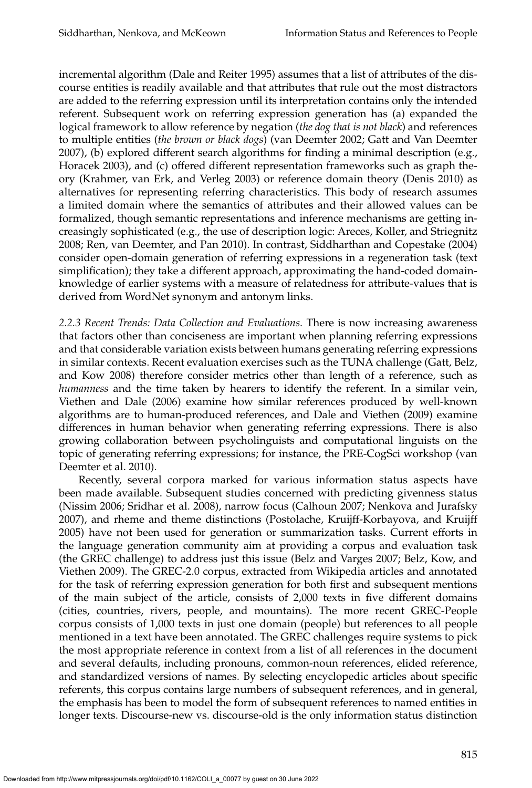incremental algorithm (Dale and Reiter 1995) assumes that a list of attributes of the discourse entities is readily available and that attributes that rule out the most distractors are added to the referring expression until its interpretation contains only the intended referent. Subsequent work on referring expression generation has (a) expanded the logical framework to allow reference by negation (*the dog that is not black*) and references to multiple entities (*the brown or black dogs*) (van Deemter 2002; Gatt and Van Deemter 2007), (b) explored different search algorithms for finding a minimal description (e.g., Horacek 2003), and (c) offered different representation frameworks such as graph theory (Krahmer, van Erk, and Verleg 2003) or reference domain theory (Denis 2010) as alternatives for representing referring characteristics. This body of research assumes a limited domain where the semantics of attributes and their allowed values can be formalized, though semantic representations and inference mechanisms are getting increasingly sophisticated (e.g., the use of description logic: Areces, Koller, and Striegnitz 2008; Ren, van Deemter, and Pan 2010). In contrast, Siddharthan and Copestake (2004) consider open-domain generation of referring expressions in a regeneration task (text simplification); they take a different approach, approximating the hand-coded domainknowledge of earlier systems with a measure of relatedness for attribute-values that is derived from WordNet synonym and antonym links.

*2.2.3 Recent Trends: Data Collection and Evaluations.* There is now increasing awareness that factors other than conciseness are important when planning referring expressions and that considerable variation exists between humans generating referring expressions in similar contexts. Recent evaluation exercises such as the TUNA challenge (Gatt, Belz, and Kow 2008) therefore consider metrics other than length of a reference, such as *humanness* and the time taken by hearers to identify the referent. In a similar vein, Viethen and Dale (2006) examine how similar references produced by well-known algorithms are to human-produced references, and Dale and Viethen (2009) examine differences in human behavior when generating referring expressions. There is also growing collaboration between psycholinguists and computational linguists on the topic of generating referring expressions; for instance, the PRE-CogSci workshop (van Deemter et al. 2010).

Recently, several corpora marked for various information status aspects have been made available. Subsequent studies concerned with predicting givenness status (Nissim 2006; Sridhar et al. 2008), narrow focus (Calhoun 2007; Nenkova and Jurafsky 2007), and rheme and theme distinctions (Postolache, Kruijff-Korbayova, and Kruijff 2005) have not been used for generation or summarization tasks. Current efforts in the language generation community aim at providing a corpus and evaluation task (the GREC challenge) to address just this issue (Belz and Varges 2007; Belz, Kow, and Viethen 2009). The GREC-2.0 corpus, extracted from Wikipedia articles and annotated for the task of referring expression generation for both first and subsequent mentions of the main subject of the article, consists of 2,000 texts in five different domains (cities, countries, rivers, people, and mountains). The more recent GREC-People corpus consists of 1,000 texts in just one domain (people) but references to all people mentioned in a text have been annotated. The GREC challenges require systems to pick the most appropriate reference in context from a list of all references in the document and several defaults, including pronouns, common-noun references, elided reference, and standardized versions of names. By selecting encyclopedic articles about specific referents, this corpus contains large numbers of subsequent references, and in general, the emphasis has been to model the form of subsequent references to named entities in longer texts. Discourse-new vs. discourse-old is the only information status distinction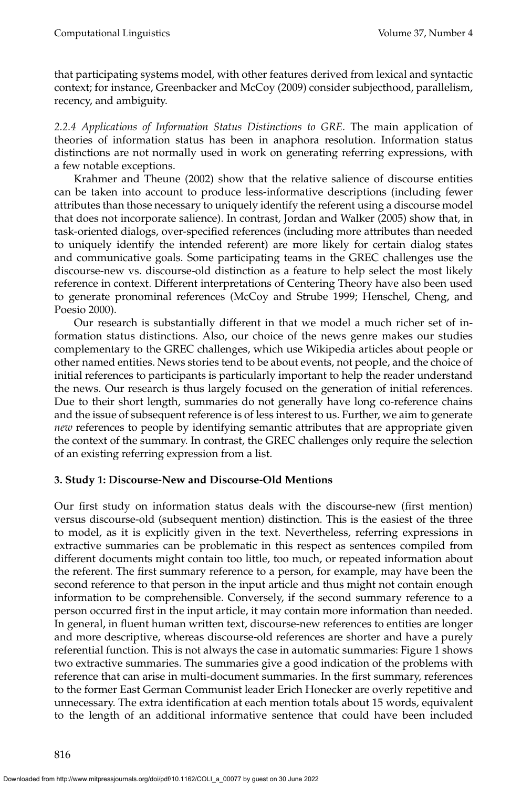that participating systems model, with other features derived from lexical and syntactic context; for instance, Greenbacker and McCoy (2009) consider subjecthood, parallelism, recency, and ambiguity.

*2.2.4 Applications of Information Status Distinctions to GRE.* The main application of theories of information status has been in anaphora resolution. Information status distinctions are not normally used in work on generating referring expressions, with a few notable exceptions.

Krahmer and Theune (2002) show that the relative salience of discourse entities can be taken into account to produce less-informative descriptions (including fewer attributes than those necessary to uniquely identify the referent using a discourse model that does not incorporate salience). In contrast, Jordan and Walker (2005) show that, in task-oriented dialogs, over-specified references (including more attributes than needed to uniquely identify the intended referent) are more likely for certain dialog states and communicative goals. Some participating teams in the GREC challenges use the discourse-new vs. discourse-old distinction as a feature to help select the most likely reference in context. Different interpretations of Centering Theory have also been used to generate pronominal references (McCoy and Strube 1999; Henschel, Cheng, and Poesio 2000).

Our research is substantially different in that we model a much richer set of information status distinctions. Also, our choice of the news genre makes our studies complementary to the GREC challenges, which use Wikipedia articles about people or other named entities. News stories tend to be about events, not people, and the choice of initial references to participants is particularly important to help the reader understand the news. Our research is thus largely focused on the generation of initial references. Due to their short length, summaries do not generally have long co-reference chains and the issue of subsequent reference is of less interest to us. Further, we aim to generate *new* references to people by identifying semantic attributes that are appropriate given the context of the summary. In contrast, the GREC challenges only require the selection of an existing referring expression from a list.

# **3. Study 1: Discourse-New and Discourse-Old Mentions**

Our first study on information status deals with the discourse-new (first mention) versus discourse-old (subsequent mention) distinction. This is the easiest of the three to model, as it is explicitly given in the text. Nevertheless, referring expressions in extractive summaries can be problematic in this respect as sentences compiled from different documents might contain too little, too much, or repeated information about the referent. The first summary reference to a person, for example, may have been the second reference to that person in the input article and thus might not contain enough information to be comprehensible. Conversely, if the second summary reference to a person occurred first in the input article, it may contain more information than needed. In general, in fluent human written text, discourse-new references to entities are longer and more descriptive, whereas discourse-old references are shorter and have a purely referential function. This is not always the case in automatic summaries: Figure 1 shows two extractive summaries. The summaries give a good indication of the problems with reference that can arise in multi-document summaries. In the first summary, references to the former East German Communist leader Erich Honecker are overly repetitive and unnecessary. The extra identification at each mention totals about 15 words, equivalent to the length of an additional informative sentence that could have been included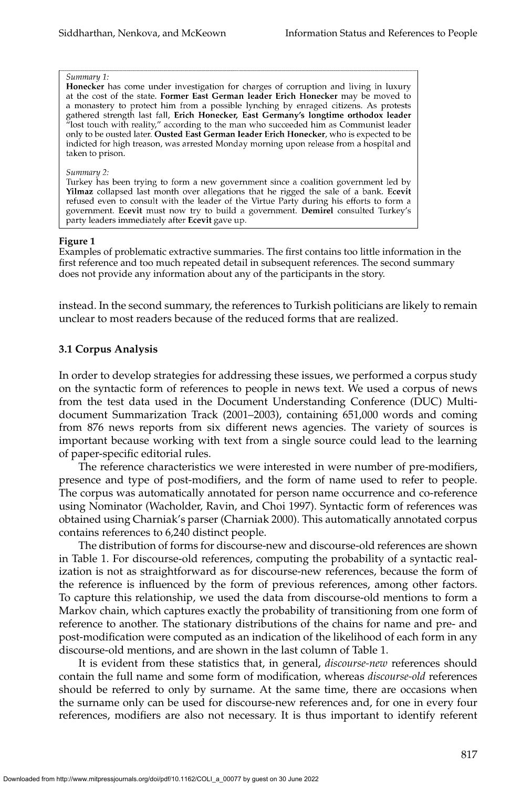#### Summary 1:

Honecker has come under investigation for charges of corruption and living in luxury at the cost of the state. Former East German leader Erich Honecker may be moved to a monastery to protect him from a possible lynching by enraged citizens. As protests gathered strength last fall, Erich Honecker, East Germany's longtime orthodox leader "lost touch with reality," according to the man who only to be ousted later. Ousted East German leader Erich Honecker, who is expected to be indicted for high treason, was arrested Monday morning upon release from a hospital and taken to prison.

#### Summary 2:

Turkey has been trying to form a new government since a coalition government led by Yilmaz collapsed last month over allegations that he rigged the sale of a bank. Ecevit refused even to consult with the leader of the Virtue Party during his efforts to form a government. Ecevit must now try to build a government. Demirel consulted Turkey's party leaders immediately after Ecevit gave up.

#### **Figure 1**

Examples of problematic extractive summaries. The first contains too little information in the first reference and too much repeated detail in subsequent references. The second summary does not provide any information about any of the participants in the story.

instead. In the second summary, the references to Turkish politicians are likely to remain unclear to most readers because of the reduced forms that are realized.

## **3.1 Corpus Analysis**

In order to develop strategies for addressing these issues, we performed a corpus study on the syntactic form of references to people in news text. We used a corpus of news from the test data used in the Document Understanding Conference (DUC) Multidocument Summarization Track (2001–2003), containing 651,000 words and coming from 876 news reports from six different news agencies. The variety of sources is important because working with text from a single source could lead to the learning of paper-specific editorial rules.

The reference characteristics we were interested in were number of pre-modifiers, presence and type of post-modifiers, and the form of name used to refer to people. The corpus was automatically annotated for person name occurrence and co-reference using Nominator (Wacholder, Ravin, and Choi 1997). Syntactic form of references was obtained using Charniak's parser (Charniak 2000). This automatically annotated corpus contains references to 6,240 distinct people.

The distribution of forms for discourse-new and discourse-old references are shown in Table 1. For discourse-old references, computing the probability of a syntactic realization is not as straightforward as for discourse-new references, because the form of the reference is influenced by the form of previous references, among other factors. To capture this relationship, we used the data from discourse-old mentions to form a Markov chain, which captures exactly the probability of transitioning from one form of reference to another. The stationary distributions of the chains for name and pre- and post-modification were computed as an indication of the likelihood of each form in any discourse-old mentions, and are shown in the last column of Table 1.

It is evident from these statistics that, in general, *discourse-new* references should contain the full name and some form of modification, whereas *discourse-old* references should be referred to only by surname. At the same time, there are occasions when the surname only can be used for discourse-new references and, for one in every four references, modifiers are also not necessary. It is thus important to identify referent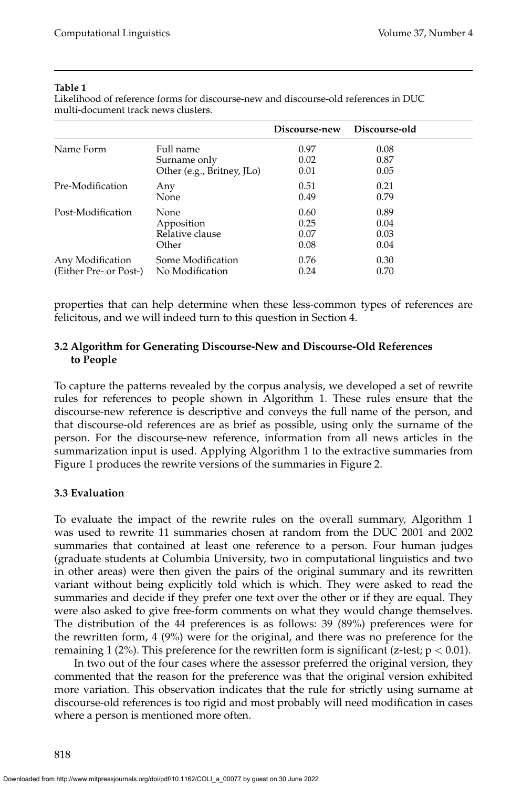Likelihood of reference forms for discourse-new and discourse-old references in DUC multi-document track news clusters.

|                        |                            | Discourse-new | Discourse-old |
|------------------------|----------------------------|---------------|---------------|
| Name Form              | Full name                  | 0.97          | 0.08          |
|                        | Surname only               | 0.02          | 0.87          |
|                        | Other (e.g., Britney, JLo) | 0.01          | 0.05          |
| Pre-Modification       | Any                        | 0.51          | 0.21          |
|                        | None                       | 0.49          | 0.79          |
| Post-Modification      | None                       | 0.60          | 0.89          |
|                        | Apposition                 | 0.25          | 0.04          |
|                        | Relative clause            | 0.07          | 0.03          |
|                        | Other                      | 0.08          | 0.04          |
| Any Modification       | Some Modification          | 0.76          | 0.30          |
| (Either Pre- or Post-) | No Modification            | 0.24          | 0.70          |

properties that can help determine when these less-common types of references are felicitous, and we will indeed turn to this question in Section 4.

## **3.2 Algorithm for Generating Discourse-New and Discourse-Old References to People**

To capture the patterns revealed by the corpus analysis, we developed a set of rewrite rules for references to people shown in Algorithm 1. These rules ensure that the discourse-new reference is descriptive and conveys the full name of the person, and that discourse-old references are as brief as possible, using only the surname of the person. For the discourse-new reference, information from all news articles in the summarization input is used. Applying Algorithm 1 to the extractive summaries from Figure 1 produces the rewrite versions of the summaries in Figure 2.

## **3.3 Evaluation**

To evaluate the impact of the rewrite rules on the overall summary, Algorithm 1 was used to rewrite 11 summaries chosen at random from the DUC 2001 and 2002 summaries that contained at least one reference to a person. Four human judges (graduate students at Columbia University, two in computational linguistics and two in other areas) were then given the pairs of the original summary and its rewritten variant without being explicitly told which is which. They were asked to read the summaries and decide if they prefer one text over the other or if they are equal. They were also asked to give free-form comments on what they would change themselves. The distribution of the 44 preferences is as follows: 39 (89%) preferences were for the rewritten form, 4 (9%) were for the original, and there was no preference for the remaining 1 (2%). This preference for the rewritten form is significant (z-test;  $p < 0.01$ ).

In two out of the four cases where the assessor preferred the original version, they commented that the reason for the preference was that the original version exhibited more variation. This observation indicates that the rule for strictly using surname at discourse-old references is too rigid and most probably will need modification in cases where a person is mentioned more often.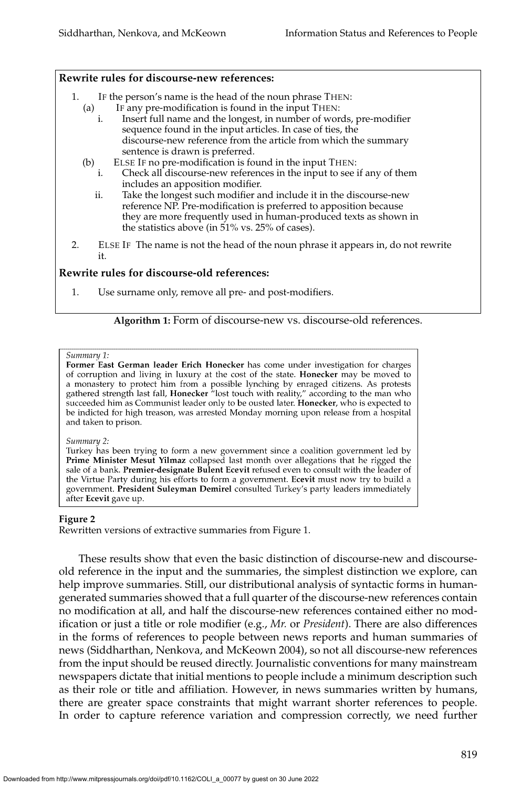## **Rewrite rules for discourse-new references:**

- IF the person's name is the head of the noun phrase THEN:<br>(a) IF any pre-modification is found in the input THEN:
	- IF any pre-modification is found in the input THEN:
		- i. Insert full name and the longest, in number of words, pre-modifier sequence found in the input articles. In case of ties, the discourse-new reference from the article from which the summary sentence is drawn is preferred.
	- (b) ELSE IF no pre-modification is found in the input THEN: i. Check all discourse-new references in the input to see if any of them
		- includes an apposition modifier. ii. Take the longest such modifier and include it in the discourse-new reference NP. Pre-modification is preferred to apposition because they are more frequently used in human-produced texts as shown in the statistics above (in 51% vs. 25% of cases).
- 2. ELSE IF The name is not the head of the noun phrase it appears in, do not rewrite it.

## **Rewrite rules for discourse-old references:**

1. Use surname only, remove all pre- and post-modifiers.

#### **Algorithm 1:** Form of discourse-new vs. discourse-old references.

#### Summary 1:

Former East German leader Erich Honecker has come under investigation for charges of corruption and living in luxury at the cost of the state. Honecker may be moved to a monastery to protect him from a possible lynching by enraged citizens. As protests gathered strength last fall, **Honecker** "lost touch with reality," according to the man who succeeded him as Communist leader only to be be indicted for high treason, was arrested Monday morning upon release from a hospital and taken to prison.

#### Summary 2:

Turkey has been trying to form a new government since a coalition government led by Prime Minister Mesut Yilmaz collapsed last month over allegations that he rigged the sale of a bank. Premier-designate Bulent Ecevit refused even to consult with the leader of the Virtue Party during his efforts to form a government. Ecevit must now try to build a government. President Suleyman Demirel consulted Turkey's party leaders immediately after Ecevit gave up.

#### **Figure 2**

Rewritten versions of extractive summaries from Figure 1.

These results show that even the basic distinction of discourse-new and discourseold reference in the input and the summaries, the simplest distinction we explore, can help improve summaries. Still, our distributional analysis of syntactic forms in humangenerated summaries showed that a full quarter of the discourse-new references contain no modification at all, and half the discourse-new references contained either no modification or just a title or role modifier (e.g., *Mr.* or *President*). There are also differences in the forms of references to people between news reports and human summaries of news (Siddharthan, Nenkova, and McKeown 2004), so not all discourse-new references from the input should be reused directly. Journalistic conventions for many mainstream newspapers dictate that initial mentions to people include a minimum description such as their role or title and affiliation. However, in news summaries written by humans, there are greater space constraints that might warrant shorter references to people. In order to capture reference variation and compression correctly, we need further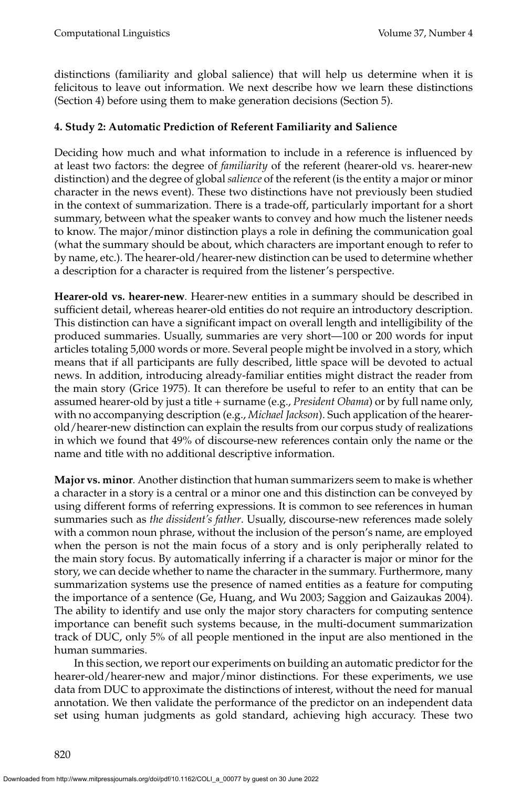distinctions (familiarity and global salience) that will help us determine when it is felicitous to leave out information. We next describe how we learn these distinctions (Section 4) before using them to make generation decisions (Section 5).

# **4. Study 2: Automatic Prediction of Referent Familiarity and Salience**

Deciding how much and what information to include in a reference is influenced by at least two factors: the degree of *familiarity* of the referent (hearer-old vs. hearer-new distinction) and the degree of global *salience* of the referent (is the entity a major or minor character in the news event). These two distinctions have not previously been studied in the context of summarization. There is a trade-off, particularly important for a short summary, between what the speaker wants to convey and how much the listener needs to know. The major/minor distinction plays a role in defining the communication goal (what the summary should be about, which characters are important enough to refer to by name, etc.). The hearer-old/hearer-new distinction can be used to determine whether a description for a character is required from the listener's perspective.

**Hearer-old vs. hearer-new***.* Hearer-new entities in a summary should be described in sufficient detail, whereas hearer-old entities do not require an introductory description. This distinction can have a significant impact on overall length and intelligibility of the produced summaries. Usually, summaries are very short—100 or 200 words for input articles totaling 5,000 words or more. Several people might be involved in a story, which means that if all participants are fully described, little space will be devoted to actual news. In addition, introducing already-familiar entities might distract the reader from the main story (Grice 1975). It can therefore be useful to refer to an entity that can be assumed hearer-old by just a title + surname (e.g., *President Obama*) or by full name only, with no accompanying description (e.g., *Michael Jackson*). Such application of the hearerold/hearer-new distinction can explain the results from our corpus study of realizations in which we found that 49% of discourse-new references contain only the name or the name and title with no additional descriptive information.

**Major vs. minor***.* Another distinction that human summarizers seem to make is whether a character in a story is a central or a minor one and this distinction can be conveyed by using different forms of referring expressions. It is common to see references in human summaries such as *the dissident's father*. Usually, discourse-new references made solely with a common noun phrase, without the inclusion of the person's name, are employed when the person is not the main focus of a story and is only peripherally related to the main story focus. By automatically inferring if a character is major or minor for the story, we can decide whether to name the character in the summary. Furthermore, many summarization systems use the presence of named entities as a feature for computing the importance of a sentence (Ge, Huang, and Wu 2003; Saggion and Gaizaukas 2004). The ability to identify and use only the major story characters for computing sentence importance can benefit such systems because, in the multi-document summarization track of DUC, only 5% of all people mentioned in the input are also mentioned in the human summaries.

In this section, we report our experiments on building an automatic predictor for the hearer-old/hearer-new and major/minor distinctions. For these experiments, we use data from DUC to approximate the distinctions of interest, without the need for manual annotation. We then validate the performance of the predictor on an independent data set using human judgments as gold standard, achieving high accuracy. These two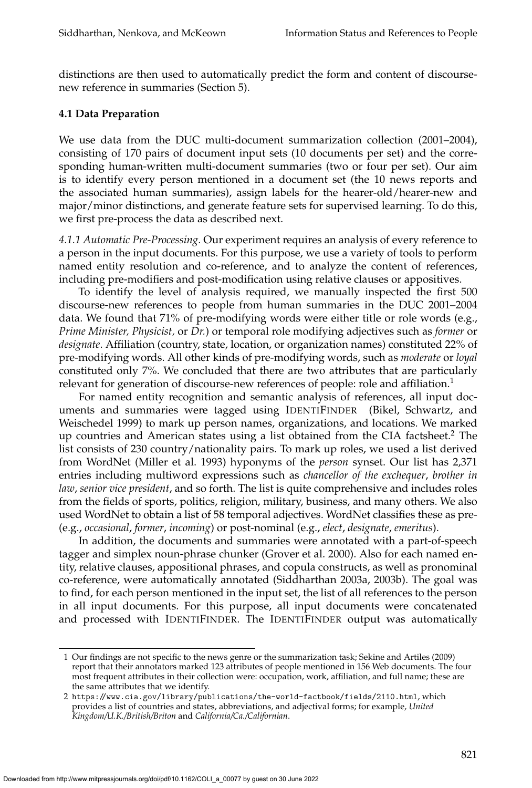distinctions are then used to automatically predict the form and content of discoursenew reference in summaries (Section 5).

## **4.1 Data Preparation**

We use data from the DUC multi-document summarization collection (2001–2004), consisting of 170 pairs of document input sets (10 documents per set) and the corresponding human-written multi-document summaries (two or four per set). Our aim is to identify every person mentioned in a document set (the 10 news reports and the associated human summaries), assign labels for the hearer-old/hearer-new and major/minor distinctions, and generate feature sets for supervised learning. To do this, we first pre-process the data as described next.

*4.1.1 Automatic Pre-Processing.* Our experiment requires an analysis of every reference to a person in the input documents. For this purpose, we use a variety of tools to perform named entity resolution and co-reference, and to analyze the content of references, including pre-modifiers and post-modification using relative clauses or appositives.

To identify the level of analysis required, we manually inspected the first 500 discourse-new references to people from human summaries in the DUC 2001–2004 data. We found that 71% of pre-modifying words were either title or role words (e.g., *Prime Minister, Physicist,* or *Dr.*) or temporal role modifying adjectives such as *former* or *designate*. Affiliation (country, state, location, or organization names) constituted 22% of pre-modifying words. All other kinds of pre-modifying words, such as *moderate* or *loyal* constituted only 7%. We concluded that there are two attributes that are particularly relevant for generation of discourse-new references of people: role and affiliation.<sup>1</sup>

For named entity recognition and semantic analysis of references, all input documents and summaries were tagged using IDENTIFINDER (Bikel, Schwartz, and Weischedel 1999) to mark up person names, organizations, and locations. We marked up countries and American states using a list obtained from the CIA factsheet.<sup>2</sup> The list consists of 230 country/nationality pairs. To mark up roles, we used a list derived from WordNet (Miller et al. 1993) hyponyms of the *person* synset. Our list has 2,371 entries including multiword expressions such as *chancellor of the exchequer*, *brother in law*, *senior vice president*, and so forth. The list is quite comprehensive and includes roles from the fields of sports, politics, religion, military, business, and many others. We also used WordNet to obtain a list of 58 temporal adjectives. WordNet classifies these as pre- (e.g., *occasional*, *former*, *incoming*) or post-nominal (e.g., *elect*, *designate*, *emeritus*).

In addition, the documents and summaries were annotated with a part-of-speech tagger and simplex noun-phrase chunker (Grover et al. 2000). Also for each named entity, relative clauses, appositional phrases, and copula constructs, as well as pronominal co-reference, were automatically annotated (Siddharthan 2003a, 2003b). The goal was to find, for each person mentioned in the input set, the list of all references to the person in all input documents. For this purpose, all input documents were concatenated and processed with IDENTIFINDER. The IDENTIFINDER output was automatically

<sup>1</sup> Our findings are not specific to the news genre or the summarization task; Sekine and Artiles (2009) report that their annotators marked 123 attributes of people mentioned in 156 Web documents. The four most frequent attributes in their collection were: occupation, work, affiliation, and full name; these are the same attributes that we identify.

<sup>2</sup> https://www.cia.gov/library/publications/the-world-factbook/fields/2110.html, which provides a list of countries and states, abbreviations, and adjectival forms; for example, *United Kingdom/U.K./British/Briton* and *California/Ca./Californian*.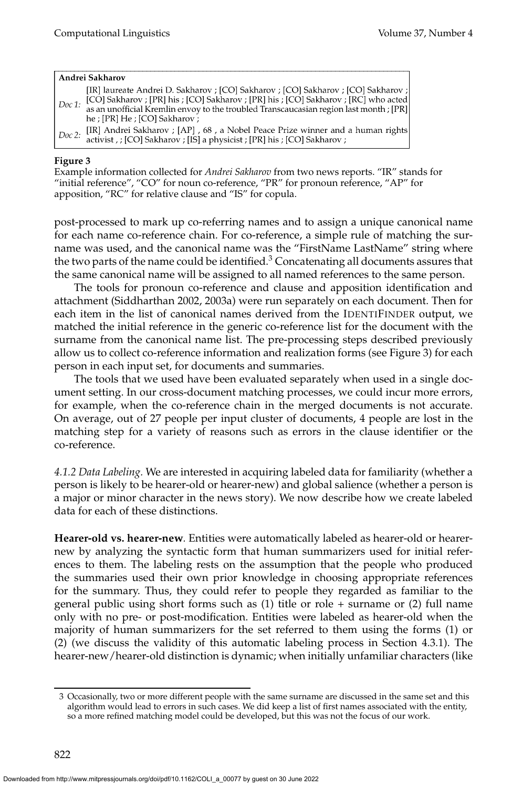#### Andrei Sakharov

|        | [IR] laureate Andrei D. Sakharov ; [CO] Sakharov ; [CO] Sakharov ; [CO] Sakharov ;<br><i>Doc 1:</i> [CO] Sakharov ; [PR] his ; [CO] Sakharov ; [PR] his ; [CO] Sakharov ; [RC] who acted as an unofficial Kremlin envoy to the troubled Transcaucasian region last month ; [PR] his ; [CR] who acted<br>he ; $[PR]$ He ; $[CO]$ Sakharov ; |
|--------|--------------------------------------------------------------------------------------------------------------------------------------------------------------------------------------------------------------------------------------------------------------------------------------------------------------------------------------------|
| Doc 2: | [IR] Andrei Sakharov ; [AP] , 68 , a Nobel Peace Prize winner and a human rights activist , ; [CO] Sakharov ; [IS] a physicist ; [PR] his ; [CO] Sakharov ;                                                                                                                                                                                |

#### **Figure 3**

Example information collected for *Andrei Sakharov* from two news reports. "IR" stands for "initial reference", "CO" for noun co-reference, "PR" for pronoun reference, "AP" for apposition, "RC" for relative clause and "IS" for copula.

post-processed to mark up co-referring names and to assign a unique canonical name for each name co-reference chain. For co-reference, a simple rule of matching the surname was used, and the canonical name was the "FirstName LastName" string where the two parts of the name could be identified. $3$  Concatenating all documents assures that the same canonical name will be assigned to all named references to the same person.

The tools for pronoun co-reference and clause and apposition identification and attachment (Siddharthan 2002, 2003a) were run separately on each document. Then for each item in the list of canonical names derived from the IDENTIFINDER output, we matched the initial reference in the generic co-reference list for the document with the surname from the canonical name list. The pre-processing steps described previously allow us to collect co-reference information and realization forms (see Figure 3) for each person in each input set, for documents and summaries.

The tools that we used have been evaluated separately when used in a single document setting. In our cross-document matching processes, we could incur more errors, for example, when the co-reference chain in the merged documents is not accurate. On average, out of 27 people per input cluster of documents, 4 people are lost in the matching step for a variety of reasons such as errors in the clause identifier or the co-reference.

*4.1.2 Data Labeling.* We are interested in acquiring labeled data for familiarity (whether a person is likely to be hearer-old or hearer-new) and global salience (whether a person is a major or minor character in the news story). We now describe how we create labeled data for each of these distinctions.

**Hearer-old vs. hearer-new***.* Entities were automatically labeled as hearer-old or hearernew by analyzing the syntactic form that human summarizers used for initial references to them. The labeling rests on the assumption that the people who produced the summaries used their own prior knowledge in choosing appropriate references for the summary. Thus, they could refer to people they regarded as familiar to the general public using short forms such as (1) title or role + surname or (2) full name only with no pre- or post-modification. Entities were labeled as hearer-old when the majority of human summarizers for the set referred to them using the forms (1) or (2) (we discuss the validity of this automatic labeling process in Section 4.3.1). The hearer-new/hearer-old distinction is dynamic; when initially unfamiliar characters (like

<sup>3</sup> Occasionally, two or more different people with the same surname are discussed in the same set and this algorithm would lead to errors in such cases. We did keep a list of first names associated with the entity, so a more refined matching model could be developed, but this was not the focus of our work.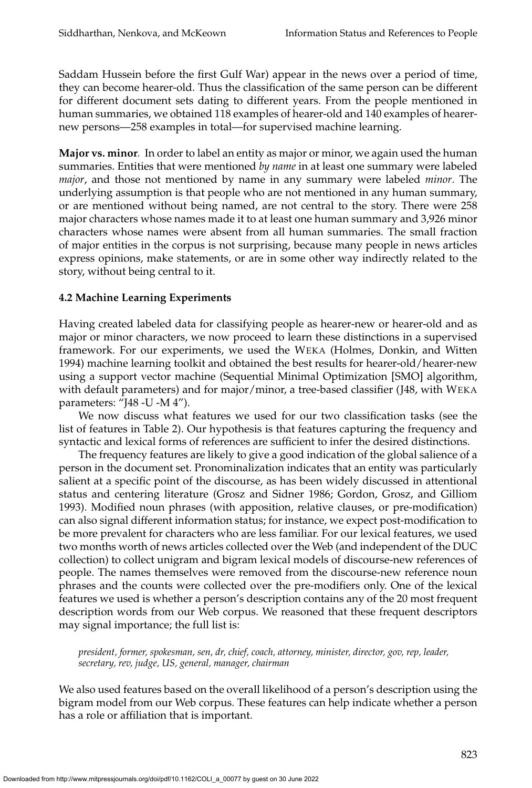Saddam Hussein before the first Gulf War) appear in the news over a period of time, they can become hearer-old. Thus the classification of the same person can be different for different document sets dating to different years. From the people mentioned in human summaries, we obtained 118 examples of hearer-old and 140 examples of hearernew persons—258 examples in total—for supervised machine learning.

**Major vs. minor***.* In order to label an entity as major or minor, we again used the human summaries. Entities that were mentioned *by name* in at least one summary were labeled *major*, and those not mentioned by name in any summary were labeled *minor*. The underlying assumption is that people who are not mentioned in any human summary, or are mentioned without being named, are not central to the story. There were 258 major characters whose names made it to at least one human summary and 3,926 minor characters whose names were absent from all human summaries. The small fraction of major entities in the corpus is not surprising, because many people in news articles express opinions, make statements, or are in some other way indirectly related to the story, without being central to it.

## **4.2 Machine Learning Experiments**

Having created labeled data for classifying people as hearer-new or hearer-old and as major or minor characters, we now proceed to learn these distinctions in a supervised framework. For our experiments, we used the WEKA (Holmes, Donkin, and Witten 1994) machine learning toolkit and obtained the best results for hearer-old/hearer-new using a support vector machine (Sequential Minimal Optimization [SMO] algorithm, with default parameters) and for major/minor, a tree-based classifier (J48, with WEKA parameters: "J48 -U -M 4").

We now discuss what features we used for our two classification tasks (see the list of features in Table 2). Our hypothesis is that features capturing the frequency and syntactic and lexical forms of references are sufficient to infer the desired distinctions.

The frequency features are likely to give a good indication of the global salience of a person in the document set. Pronominalization indicates that an entity was particularly salient at a specific point of the discourse, as has been widely discussed in attentional status and centering literature (Grosz and Sidner 1986; Gordon, Grosz, and Gilliom 1993). Modified noun phrases (with apposition, relative clauses, or pre-modification) can also signal different information status; for instance, we expect post-modification to be more prevalent for characters who are less familiar. For our lexical features, we used two months worth of news articles collected over the Web (and independent of the DUC collection) to collect unigram and bigram lexical models of discourse-new references of people. The names themselves were removed from the discourse-new reference noun phrases and the counts were collected over the pre-modifiers only. One of the lexical features we used is whether a person's description contains any of the 20 most frequent description words from our Web corpus. We reasoned that these frequent descriptors may signal importance; the full list is:

*president, former, spokesman, sen, dr, chief, coach, attorney, minister, director, gov, rep, leader, secretary, rev, judge, US, general, manager, chairman*

We also used features based on the overall likelihood of a person's description using the bigram model from our Web corpus. These features can help indicate whether a person has a role or affiliation that is important.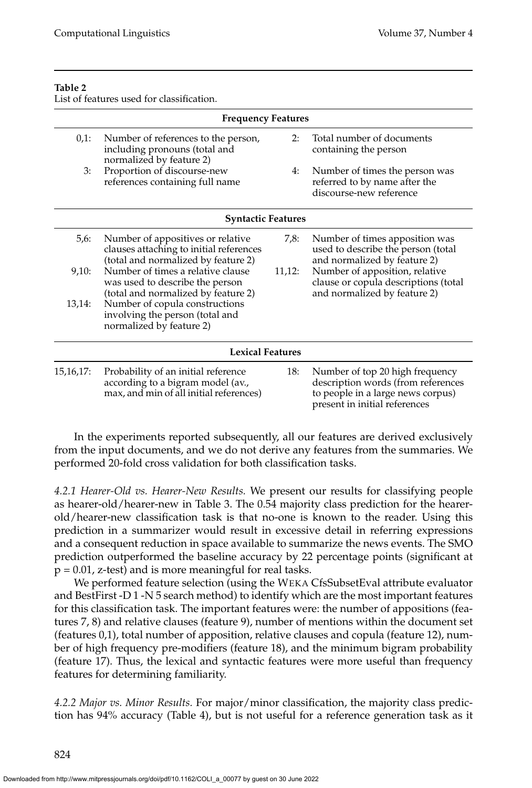List of features used for classification.

|           | <b>Frequency Features</b>                                                                                            |        |                                                                                                                                             |
|-----------|----------------------------------------------------------------------------------------------------------------------|--------|---------------------------------------------------------------------------------------------------------------------------------------------|
| 0,1:      | Number of references to the person,<br>including pronouns (total and<br>normalized by feature 2)                     | 2:     | Total number of documents<br>containing the person                                                                                          |
| 3:        | Proportion of discourse-new<br>references containing full name                                                       | 4:     | Number of times the person was<br>referred to by name after the<br>discourse-new reference                                                  |
|           | <b>Syntactic Features</b>                                                                                            |        |                                                                                                                                             |
| 5,6:      | Number of appositives or relative.<br>clauses attaching to initial references<br>(total and normalized by feature 2) | 7,8:   | Number of times apposition was<br>used to describe the person (total<br>and normalized by feature 2)                                        |
| 9,10:     | Number of times a relative clause<br>was used to describe the person<br>(total and normalized by feature 2)          | 11,12: | Number of apposition, relative<br>clause or copula descriptions (total<br>and normalized by feature 2)                                      |
| 13,14:    | Number of copula constructions<br>involving the person (total and<br>normalized by feature 2)                        |        |                                                                                                                                             |
|           | <b>Lexical Features</b>                                                                                              |        |                                                                                                                                             |
| 15,16,17: | Probability of an initial reference<br>according to a bigram model (av.,<br>max, and min of all initial references)  | 18:    | Number of top 20 high frequency<br>description words (from references<br>to people in a large news corpus)<br>present in initial references |

In the experiments reported subsequently, all our features are derived exclusively from the input documents, and we do not derive any features from the summaries. We performed 20-fold cross validation for both classification tasks.

*4.2.1 Hearer-Old vs. Hearer-New Results.* We present our results for classifying people as hearer-old/hearer-new in Table 3. The 0.54 majority class prediction for the hearerold/hearer-new classification task is that no-one is known to the reader. Using this prediction in a summarizer would result in excessive detail in referring expressions and a consequent reduction in space available to summarize the news events. The SMO prediction outperformed the baseline accuracy by 22 percentage points (significant at  $p = 0.01$ , z-test) and is more meaningful for real tasks.

We performed feature selection (using the WEKA CfsSubsetEval attribute evaluator and BestFirst -D 1 -N 5 search method) to identify which are the most important features for this classification task. The important features were: the number of appositions (features 7, 8) and relative clauses (feature 9), number of mentions within the document set (features 0,1), total number of apposition, relative clauses and copula (feature 12), number of high frequency pre-modifiers (feature 18), and the minimum bigram probability (feature 17). Thus, the lexical and syntactic features were more useful than frequency features for determining familiarity.

*4.2.2 Major vs. Minor Results.* For major/minor classification, the majority class prediction has 94% accuracy (Table 4), but is not useful for a reference generation task as it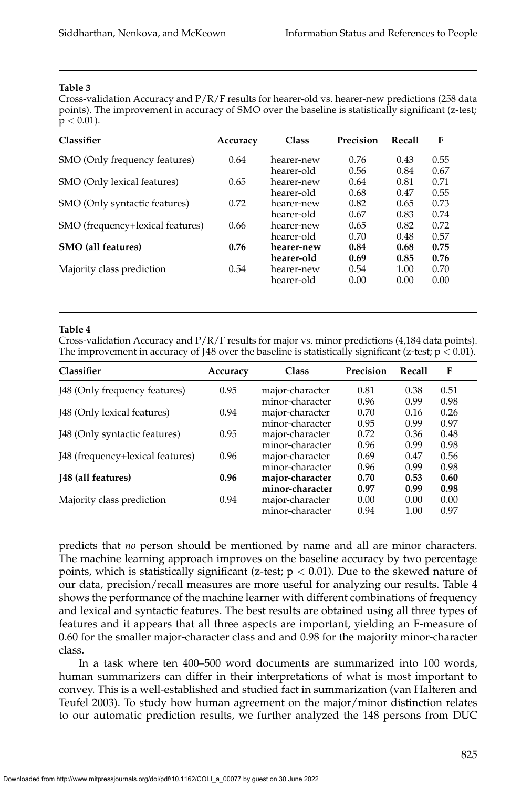Cross-validation Accuracy and  $P/R/F$  results for hearer-old vs. hearer-new predictions (258 data points). The improvement in accuracy of SMO over the baseline is statistically significant (z-test;  $p < 0.01$ ).

| <b>Classifier</b>                | Accuracy | Class      | Precision | Recall | F    |
|----------------------------------|----------|------------|-----------|--------|------|
| SMO (Only frequency features)    | 0.64     | hearer-new | 0.76      | 0.43   | 0.55 |
|                                  |          | hearer-old | 0.56      | 0.84   | 0.67 |
| SMO (Only lexical features)      | 0.65     | hearer-new | 0.64      | 0.81   | 0.71 |
|                                  |          | hearer-old | 0.68      | 0.47   | 0.55 |
| SMO (Only syntactic features)    | 0.72     | hearer-new | 0.82      | 0.65   | 0.73 |
|                                  |          | hearer-old | 0.67      | 0.83   | 0.74 |
| SMO (frequency+lexical features) | 0.66     | hearer-new | 0.65      | 0.82   | 0.72 |
|                                  |          | hearer-old | 0.70      | 0.48   | 0.57 |
| SMO (all features)               | 0.76     | hearer-new | 0.84      | 0.68   | 0.75 |
|                                  |          | hearer-old | 0.69      | 0.85   | 0.76 |
| Majority class prediction        | 0.54     | hearer-new | 0.54      | 1.00   | 0.70 |
|                                  |          | hearer-old | 0.00      | 0.00   | 0.00 |
|                                  |          |            |           |        |      |

## **Table 4**

Cross-validation Accuracy and  $P/R/F$  results for major vs. minor predictions (4,184 data points). The improvement in accuracy of J48 over the baseline is statistically significant (z-test;  $p < 0.01$ ).

| <b>Classifier</b>                | Accuracy | Class           | Precision | <b>Recall</b> | F    |
|----------------------------------|----------|-----------------|-----------|---------------|------|
| J48 (Only frequency features)    | 0.95     | major-character | 0.81      | 0.38          | 0.51 |
|                                  |          | minor-character | 0.96      | 0.99          | 0.98 |
| [48 (Only lexical features)      | 0.94     | major-character | 0.70      | 0.16          | 0.26 |
|                                  |          | minor-character | 0.95      | 0.99          | 0.97 |
| J48 (Only syntactic features)    | 0.95     | major-character | 0.72      | 0.36          | 0.48 |
|                                  |          | minor-character | 0.96      | 0.99          | 0.98 |
| J48 (frequency+lexical features) | 0.96     | major-character | 0.69      | 0.47          | 0.56 |
|                                  |          | minor-character | 0.96      | 0.99          | 0.98 |
| [48 (all features)               | 0.96     | major-character | 0.70      | 0.53          | 0.60 |
|                                  |          | minor-character | 0.97      | 0.99          | 0.98 |
| Majority class prediction        | 0.94     | major-character | 0.00      | 0.00          | 0.00 |
|                                  |          | minor-character | 0.94      | 1.00          | 0.97 |

predicts that *no* person should be mentioned by name and all are minor characters. The machine learning approach improves on the baseline accuracy by two percentage points, which is statistically significant (z-test;  $p < 0.01$ ). Due to the skewed nature of our data, precision/recall measures are more useful for analyzing our results. Table 4 shows the performance of the machine learner with different combinations of frequency and lexical and syntactic features. The best results are obtained using all three types of features and it appears that all three aspects are important, yielding an F-measure of 0.60 for the smaller major-character class and and 0.98 for the majority minor-character class.

In a task where ten 400–500 word documents are summarized into 100 words, human summarizers can differ in their interpretations of what is most important to convey. This is a well-established and studied fact in summarization (van Halteren and Teufel 2003). To study how human agreement on the major/minor distinction relates to our automatic prediction results, we further analyzed the 148 persons from DUC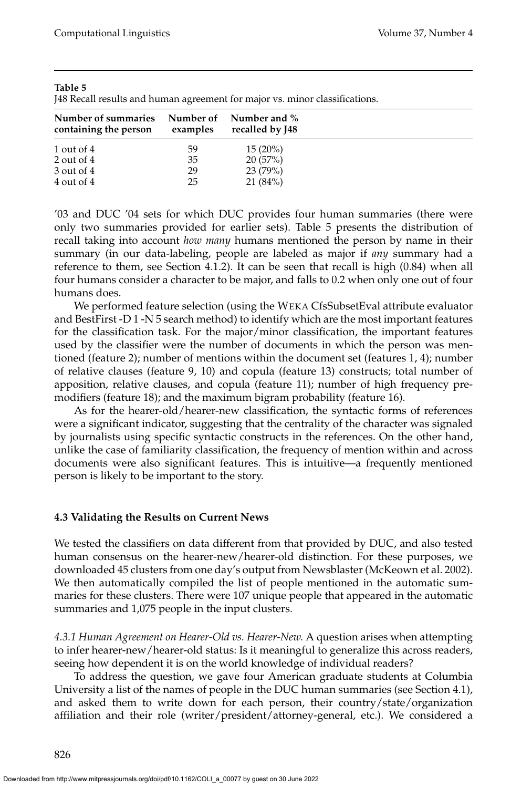| Number of summaries<br>containing the person | Number of<br>examples | Number and %<br>recalled by J48 |
|----------------------------------------------|-----------------------|---------------------------------|
| 1 out of $4$                                 | 59                    | $15(20\%)$                      |
| 2 out of $4$                                 | 35                    | 20(57%)                         |
| 3 out of 4                                   | 29                    | 23(79%)                         |
| $4$ out of $4$                               | 25                    | 21(84%)                         |
|                                              |                       |                                 |

J48 Recall results and human agreement for major vs. minor classifications.

'03 and DUC '04 sets for which DUC provides four human summaries (there were only two summaries provided for earlier sets). Table 5 presents the distribution of recall taking into account *how many* humans mentioned the person by name in their summary (in our data-labeling, people are labeled as major if *any* summary had a reference to them, see Section 4.1.2). It can be seen that recall is high (0.84) when all four humans consider a character to be major, and falls to 0.2 when only one out of four humans does.

We performed feature selection (using the WEKA CfsSubsetEval attribute evaluator and BestFirst -D 1 -N 5 search method) to identify which are the most important features for the classification task. For the major/minor classification, the important features used by the classifier were the number of documents in which the person was mentioned (feature 2); number of mentions within the document set (features 1, 4); number of relative clauses (feature 9, 10) and copula (feature 13) constructs; total number of apposition, relative clauses, and copula (feature 11); number of high frequency premodifiers (feature 18); and the maximum bigram probability (feature 16).

As for the hearer-old/hearer-new classification, the syntactic forms of references were a significant indicator, suggesting that the centrality of the character was signaled by journalists using specific syntactic constructs in the references. On the other hand, unlike the case of familiarity classification, the frequency of mention within and across documents were also significant features. This is intuitive—a frequently mentioned person is likely to be important to the story.

#### **4.3 Validating the Results on Current News**

We tested the classifiers on data different from that provided by DUC, and also tested human consensus on the hearer-new/hearer-old distinction. For these purposes, we downloaded 45 clusters from one day's output from Newsblaster (McKeown et al. 2002). We then automatically compiled the list of people mentioned in the automatic summaries for these clusters. There were 107 unique people that appeared in the automatic summaries and 1,075 people in the input clusters.

*4.3.1 Human Agreement on Hearer-Old vs. Hearer-New.* A question arises when attempting to infer hearer-new/hearer-old status: Is it meaningful to generalize this across readers, seeing how dependent it is on the world knowledge of individual readers?

To address the question, we gave four American graduate students at Columbia University a list of the names of people in the DUC human summaries (see Section 4.1), and asked them to write down for each person, their country/state/organization affiliation and their role (writer/president/attorney-general, etc.). We considered a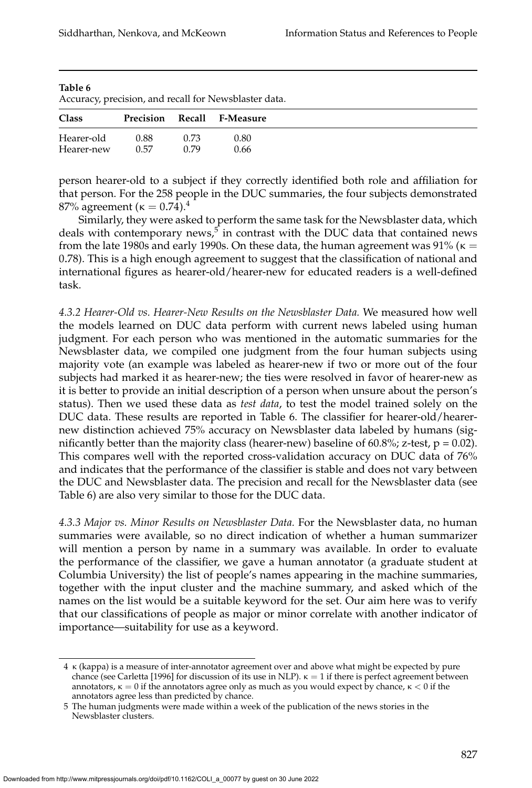| <br>Accuracy, precision, and recall for Newsblaster data. |              |              |                            |  |  |  |
|-----------------------------------------------------------|--------------|--------------|----------------------------|--|--|--|
| Class                                                     |              |              | Precision Recall F-Measure |  |  |  |
| Hearer-old<br>Hearer-new                                  | 0.88<br>0.57 | 0.73<br>0.79 | 0.80<br>0.66               |  |  |  |

person hearer-old to a subject if they correctly identified both role and affiliation for that person. For the 258 people in the DUC summaries, the four subjects demonstrated 87% agreement (κ = 0.74).<sup>4</sup>

Similarly, they were asked to perform the same task for the Newsblaster data, which deals with contemporary news, $5$  in contrast with the DUC data that contained news from the late 1980s and early 1990s. On these data, the human agreement was 91% ( $\kappa$  = 0.78). This is a high enough agreement to suggest that the classification of national and international figures as hearer-old/hearer-new for educated readers is a well-defined task.

*4.3.2 Hearer-Old vs. Hearer-New Results on the Newsblaster Data.* We measured how well the models learned on DUC data perform with current news labeled using human judgment. For each person who was mentioned in the automatic summaries for the Newsblaster data, we compiled one judgment from the four human subjects using majority vote (an example was labeled as hearer-new if two or more out of the four subjects had marked it as hearer-new; the ties were resolved in favor of hearer-new as it is better to provide an initial description of a person when unsure about the person's status). Then we used these data as *test data*, to test the model trained solely on the DUC data. These results are reported in Table 6. The classifier for hearer-old/hearernew distinction achieved 75% accuracy on Newsblaster data labeled by humans (significantly better than the majority class (hearer-new) baseline of  $60.8\%$ ; z-test,  $p = 0.02$ ). This compares well with the reported cross-validation accuracy on DUC data of 76% and indicates that the performance of the classifier is stable and does not vary between the DUC and Newsblaster data. The precision and recall for the Newsblaster data (see Table 6) are also very similar to those for the DUC data.

*4.3.3 Major vs. Minor Results on Newsblaster Data.* For the Newsblaster data, no human summaries were available, so no direct indication of whether a human summarizer will mention a person by name in a summary was available. In order to evaluate the performance of the classifier, we gave a human annotator (a graduate student at Columbia University) the list of people's names appearing in the machine summaries, together with the input cluster and the machine summary, and asked which of the names on the list would be a suitable keyword for the set. Our aim here was to verify that our classifications of people as major or minor correlate with another indicator of importance—suitability for use as a keyword.

<sup>4</sup> κ (kappa) is a measure of inter-annotator agreement over and above what might be expected by pure chance (see Carletta [1996] for discussion of its use in NLP).  $κ = 1$  if there is perfect agreement between annotators,  $κ = 0$  if the annotators agree only as much as you would expect by chance,  $κ < 0$  if the annotators agree less than predicted by chance.

<sup>5</sup> The human judgments were made within a week of the publication of the news stories in the Newsblaster clusters.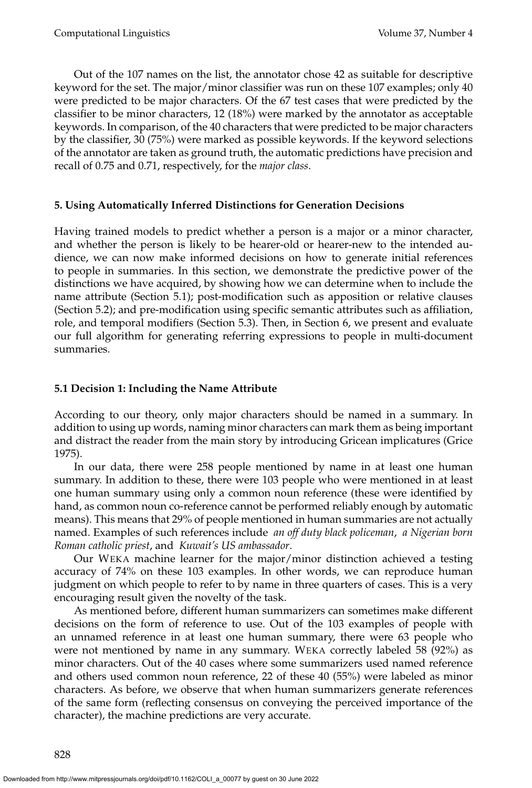Out of the 107 names on the list, the annotator chose 42 as suitable for descriptive keyword for the set. The major/minor classifier was run on these 107 examples; only 40 were predicted to be major characters. Of the 67 test cases that were predicted by the classifier to be minor characters, 12 (18%) were marked by the annotator as acceptable keywords. In comparison, of the 40 characters that were predicted to be major characters by the classifier, 30 (75%) were marked as possible keywords. If the keyword selections of the annotator are taken as ground truth, the automatic predictions have precision and recall of 0.75 and 0.71, respectively, for the *major class*.

## **5. Using Automatically Inferred Distinctions for Generation Decisions**

Having trained models to predict whether a person is a major or a minor character, and whether the person is likely to be hearer-old or hearer-new to the intended audience, we can now make informed decisions on how to generate initial references to people in summaries. In this section, we demonstrate the predictive power of the distinctions we have acquired, by showing how we can determine when to include the name attribute (Section 5.1); post-modification such as apposition or relative clauses (Section 5.2); and pre-modification using specific semantic attributes such as affiliation, role, and temporal modifiers (Section 5.3). Then, in Section 6, we present and evaluate our full algorithm for generating referring expressions to people in multi-document summaries.

## **5.1 Decision 1: Including the Name Attribute**

According to our theory, only major characters should be named in a summary. In addition to using up words, naming minor characters can mark them as being important and distract the reader from the main story by introducing Gricean implicatures (Grice 1975).

In our data, there were 258 people mentioned by name in at least one human summary. In addition to these, there were 103 people who were mentioned in at least one human summary using only a common noun reference (these were identified by hand, as common noun co-reference cannot be performed reliably enough by automatic means). This means that 29% of people mentioned in human summaries are not actually named. Examples of such references include *an off duty black policeman*, *a Nigerian born Roman catholic priest*, and *Kuwait's US ambassador*.

Our WEKA machine learner for the major/minor distinction achieved a testing accuracy of 74% on these 103 examples. In other words, we can reproduce human judgment on which people to refer to by name in three quarters of cases. This is a very encouraging result given the novelty of the task.

As mentioned before, different human summarizers can sometimes make different decisions on the form of reference to use. Out of the 103 examples of people with an unnamed reference in at least one human summary, there were 63 people who were not mentioned by name in any summary. WEKA correctly labeled 58 (92%) as minor characters. Out of the 40 cases where some summarizers used named reference and others used common noun reference, 22 of these 40 (55%) were labeled as minor characters. As before, we observe that when human summarizers generate references of the same form (reflecting consensus on conveying the perceived importance of the character), the machine predictions are very accurate.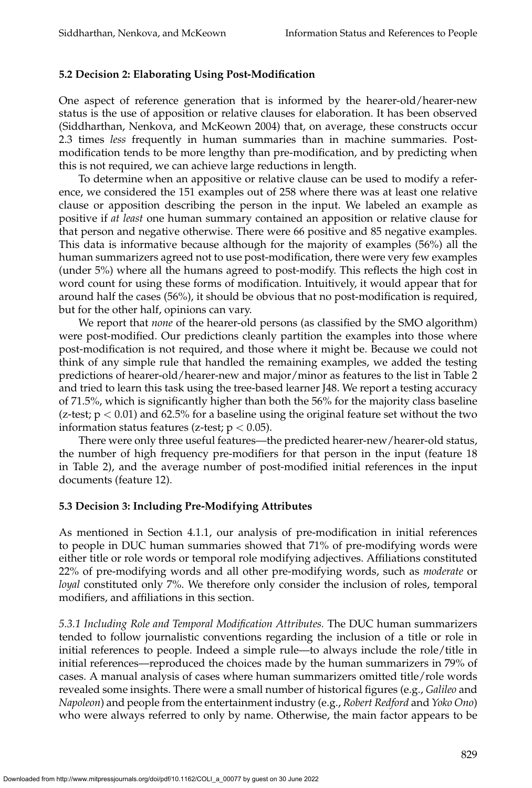## **5.2 Decision 2: Elaborating Using Post-Modification**

One aspect of reference generation that is informed by the hearer-old/hearer-new status is the use of apposition or relative clauses for elaboration. It has been observed (Siddharthan, Nenkova, and McKeown 2004) that, on average, these constructs occur 2.3 times *less* frequently in human summaries than in machine summaries. Postmodification tends to be more lengthy than pre-modification, and by predicting when this is not required, we can achieve large reductions in length.

To determine when an appositive or relative clause can be used to modify a reference, we considered the 151 examples out of 258 where there was at least one relative clause or apposition describing the person in the input. We labeled an example as positive if *at least* one human summary contained an apposition or relative clause for that person and negative otherwise. There were 66 positive and 85 negative examples. This data is informative because although for the majority of examples (56%) all the human summarizers agreed not to use post-modification, there were very few examples (under 5%) where all the humans agreed to post-modify. This reflects the high cost in word count for using these forms of modification. Intuitively, it would appear that for around half the cases (56%), it should be obvious that no post-modification is required, but for the other half, opinions can vary.

We report that *none* of the hearer-old persons (as classified by the SMO algorithm) were post-modified. Our predictions cleanly partition the examples into those where post-modification is not required, and those where it might be. Because we could not think of any simple rule that handled the remaining examples, we added the testing predictions of hearer-old/hearer-new and major/minor as features to the list in Table 2 and tried to learn this task using the tree-based learner J48. We report a testing accuracy of 71.5%, which is significantly higher than both the 56% for the majority class baseline (z-test;  $p < 0.01$ ) and 62.5% for a baseline using the original feature set without the two information status features (z-test;  $p < 0.05$ ).

There were only three useful features—the predicted hearer-new/hearer-old status, the number of high frequency pre-modifiers for that person in the input (feature 18 in Table 2), and the average number of post-modified initial references in the input documents (feature 12).

## **5.3 Decision 3: Including Pre-Modifying Attributes**

As mentioned in Section 4.1.1, our analysis of pre-modification in initial references to people in DUC human summaries showed that 71% of pre-modifying words were either title or role words or temporal role modifying adjectives. Affiliations constituted 22% of pre-modifying words and all other pre-modifying words, such as *moderate* or *loyal* constituted only 7%. We therefore only consider the inclusion of roles, temporal modifiers, and affiliations in this section.

*5.3.1 Including Role and Temporal Modification Attributes.* The DUC human summarizers tended to follow journalistic conventions regarding the inclusion of a title or role in initial references to people. Indeed a simple rule—to always include the role/title in initial references—reproduced the choices made by the human summarizers in 79% of cases. A manual analysis of cases where human summarizers omitted title/role words revealed some insights. There were a small number of historical figures (e.g., *Galileo* and *Napoleon*) and people from the entertainment industry (e.g., *Robert Redford* and *Yoko Ono*) who were always referred to only by name. Otherwise, the main factor appears to be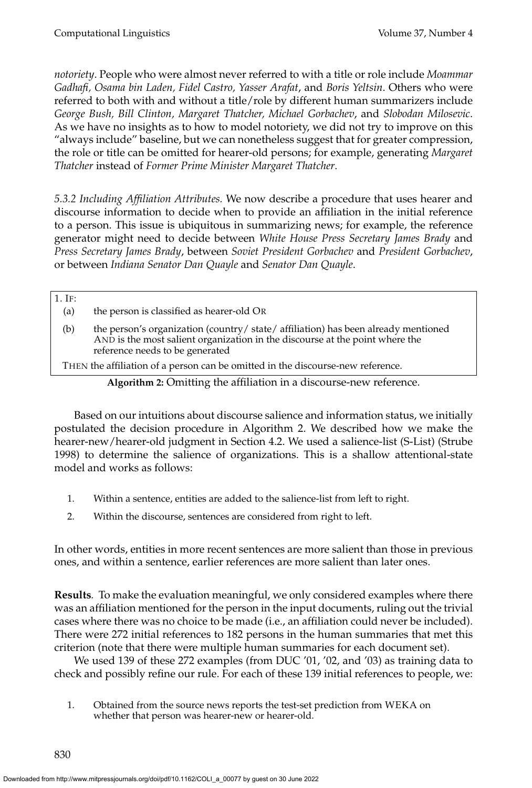*notoriety*. People who were almost never referred to with a title or role include *Moammar Gadhafi, Osama bin Laden, Fidel Castro, Yasser Arafat*, and *Boris Yeltsin*. Others who were referred to both with and without a title/role by different human summarizers include *George Bush, Bill Clinton, Margaret Thatcher, Michael Gorbachev*, and *Slobodan Milosevic*. As we have no insights as to how to model notoriety, we did not try to improve on this "always include" baseline, but we can nonetheless suggest that for greater compression, the role or title can be omitted for hearer-old persons; for example, generating *Margaret Thatcher* instead of *Former Prime Minister Margaret Thatcher*.

*5.3.2 Including Affiliation Attributes.* We now describe a procedure that uses hearer and discourse information to decide when to provide an affiliation in the initial reference to a person. This issue is ubiquitous in summarizing news; for example, the reference generator might need to decide between *White House Press Secretary James Brady* and *Press Secretary James Brady*, between *Soviet President Gorbachev* and *President Gorbachev*, or between *Indiana Senator Dan Quayle* and *Senator Dan Quayle*.

1. IF:

(a) the person is classified as hearer-old OR

(b) the person's organization (country/ state/ affiliation) has been already mentioned AND is the most salient organization in the discourse at the point where the reference needs to be generated

THEN the affiliation of a person can be omitted in the discourse-new reference.

**Algorithm 2:** Omitting the affiliation in a discourse-new reference.

Based on our intuitions about discourse salience and information status, we initially postulated the decision procedure in Algorithm 2. We described how we make the hearer-new/hearer-old judgment in Section 4.2. We used a salience-list (S-List) (Strube 1998) to determine the salience of organizations. This is a shallow attentional-state model and works as follows:

- 1. Within a sentence, entities are added to the salience-list from left to right.
- 2. Within the discourse, sentences are considered from right to left.

In other words, entities in more recent sentences are more salient than those in previous ones, and within a sentence, earlier references are more salient than later ones.

**Results***.* To make the evaluation meaningful, we only considered examples where there was an affiliation mentioned for the person in the input documents, ruling out the trivial cases where there was no choice to be made (i.e., an affiliation could never be included). There were 272 initial references to 182 persons in the human summaries that met this criterion (note that there were multiple human summaries for each document set).

We used 139 of these 272 examples (from DUC '01, '02, and '03) as training data to check and possibly refine our rule. For each of these 139 initial references to people, we:

1. Obtained from the source news reports the test-set prediction from WEKA on whether that person was hearer-new or hearer-old.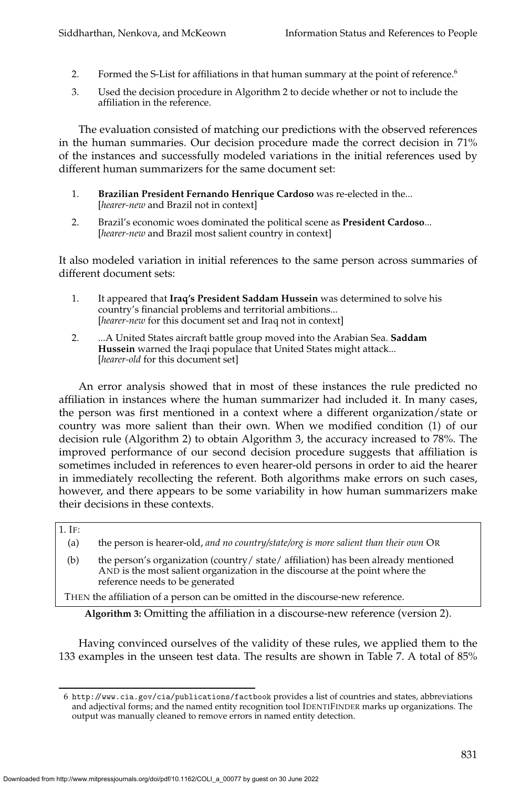- 2. Formed the S-List for affiliations in that human summary at the point of reference.<sup>6</sup>
- 3. Used the decision procedure in Algorithm 2 to decide whether or not to include the affiliation in the reference.

The evaluation consisted of matching our predictions with the observed references in the human summaries. Our decision procedure made the correct decision in 71% of the instances and successfully modeled variations in the initial references used by different human summarizers for the same document set:

- 1. **Brazilian President Fernando Henrique Cardoso** was re-elected in the... [*hearer-new* and Brazil not in context]
- 2. Brazil's economic woes dominated the political scene as **President Cardoso**... [*hearer-new* and Brazil most salient country in context]

It also modeled variation in initial references to the same person across summaries of different document sets:

- 1. It appeared that **Iraq's President Saddam Hussein** was determined to solve his country's financial problems and territorial ambitions... [*hearer-new* for this document set and Iraq not in context]
- 2. ...A United States aircraft battle group moved into the Arabian Sea. **Saddam Hussein** warned the Iraqi populace that United States might attack... [*hearer-old* for this document set]

An error analysis showed that in most of these instances the rule predicted no affiliation in instances where the human summarizer had included it. In many cases, the person was first mentioned in a context where a different organization/state or country was more salient than their own. When we modified condition (1) of our decision rule (Algorithm 2) to obtain Algorithm 3, the accuracy increased to 78%. The improved performance of our second decision procedure suggests that affiliation is sometimes included in references to even hearer-old persons in order to aid the hearer in immediately recollecting the referent. Both algorithms make errors on such cases, however, and there appears to be some variability in how human summarizers make their decisions in these contexts.

- 1. IF:
	- (a) the person is hearer-old, *and no country/state/org is more salient than their own* OR
	- (b) the person's organization (country/ state/ affiliation) has been already mentioned AND is the most salient organization in the discourse at the point where the reference needs to be generated

THEN the affiliation of a person can be omitted in the discourse-new reference.

**Algorithm 3:** Omitting the affiliation in a discourse-new reference (version 2).

Having convinced ourselves of the validity of these rules, we applied them to the 133 examples in the unseen test data. The results are shown in Table 7. A total of 85%

<sup>6</sup> http://www.cia.gov/cia/publications/factbook provides a list of countries and states, abbreviations and adjectival forms; and the named entity recognition tool IDENTIFINDER marks up organizations. The output was manually cleaned to remove errors in named entity detection.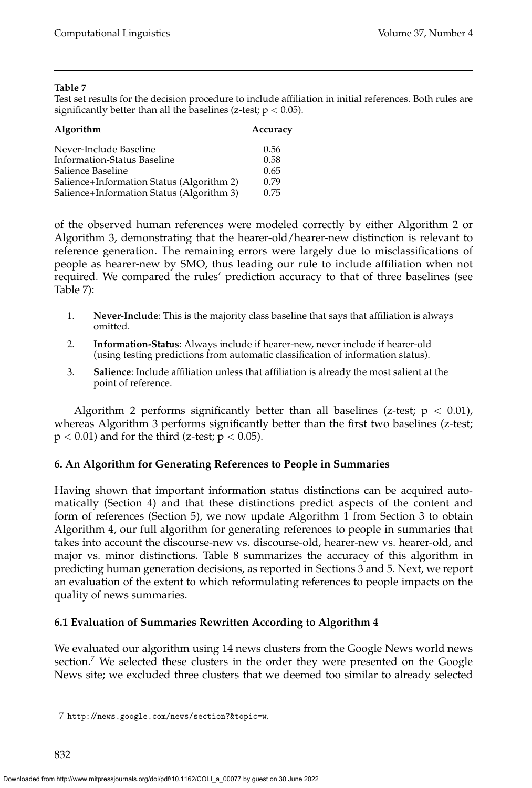Test set results for the decision procedure to include affiliation in initial references. Both rules are significantly better than all the baselines (z-test;  $p < 0.05$ ).

| Algorithm                                 | Accuracy |
|-------------------------------------------|----------|
| Never-Include Baseline                    | 0.56     |
| Information-Status Baseline               | 0.58     |
| Salience Baseline                         | 0.65     |
| Salience+Information Status (Algorithm 2) | 0.79     |
| Salience+Information Status (Algorithm 3) | 0.75     |

of the observed human references were modeled correctly by either Algorithm 2 or Algorithm 3, demonstrating that the hearer-old/hearer-new distinction is relevant to reference generation. The remaining errors were largely due to misclassifications of people as hearer-new by SMO, thus leading our rule to include affiliation when not required. We compared the rules' prediction accuracy to that of three baselines (see Table 7):

- 1. **Never-Include**: This is the majority class baseline that says that affiliation is always omitted.
- 2. **Information-Status**: Always include if hearer-new, never include if hearer-old (using testing predictions from automatic classification of information status).
- 3. **Salience**: Include affiliation unless that affiliation is already the most salient at the point of reference.

Algorithm 2 performs significantly better than all baselines (z-test;  $p < 0.01$ ), whereas Algorithm 3 performs significantly better than the first two baselines (z-test;  $p < 0.01$ ) and for the third (z-test;  $p < 0.05$ ).

# **6. An Algorithm for Generating References to People in Summaries**

Having shown that important information status distinctions can be acquired automatically (Section 4) and that these distinctions predict aspects of the content and form of references (Section 5), we now update Algorithm 1 from Section 3 to obtain Algorithm 4, our full algorithm for generating references to people in summaries that takes into account the discourse-new vs. discourse-old, hearer-new vs. hearer-old, and major vs. minor distinctions. Table 8 summarizes the accuracy of this algorithm in predicting human generation decisions, as reported in Sections 3 and 5. Next, we report an evaluation of the extent to which reformulating references to people impacts on the quality of news summaries.

# **6.1 Evaluation of Summaries Rewritten According to Algorithm 4**

We evaluated our algorithm using 14 news clusters from the Google News world news section.<sup>7</sup> We selected these clusters in the order they were presented on the Google News site; we excluded three clusters that we deemed too similar to already selected

<sup>7</sup> http://news.google.com/news/section?&topic=w.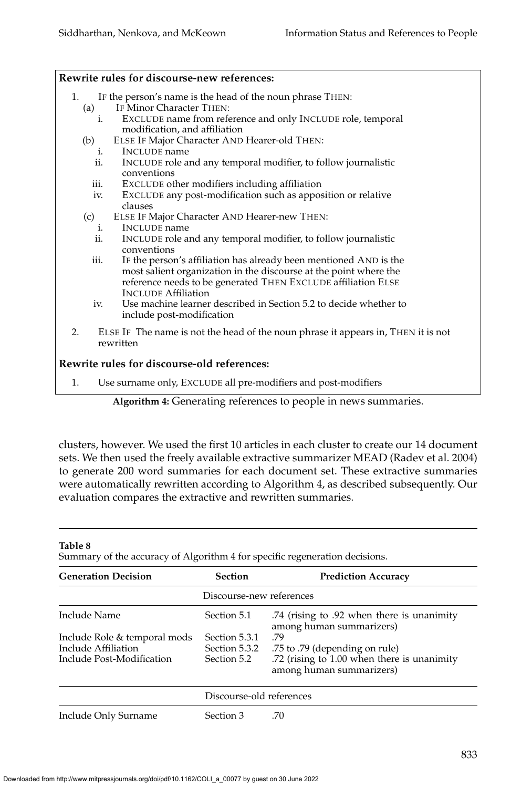|                                             | Rewrite rules for discourse-new references:                                                                                            |  |  |  |
|---------------------------------------------|----------------------------------------------------------------------------------------------------------------------------------------|--|--|--|
| 1.                                          | IF the person's name is the head of the noun phrase THEN:                                                                              |  |  |  |
| (a)                                         | IF Minor Character THEN:                                                                                                               |  |  |  |
|                                             | EXCLUDE name from reference and only INCLUDE role, temporal<br>i.                                                                      |  |  |  |
|                                             | modification, and affiliation                                                                                                          |  |  |  |
| (b)                                         | ELSE IF Major Character AND Hearer-old THEN:                                                                                           |  |  |  |
|                                             | i.<br><b>INCLUDE</b> name                                                                                                              |  |  |  |
| ii.                                         | INCLUDE role and any temporal modifier, to follow journalistic                                                                         |  |  |  |
|                                             | conventions                                                                                                                            |  |  |  |
| iii.                                        | EXCLUDE other modifiers including affiliation                                                                                          |  |  |  |
| iv.                                         | EXCLUDE any post-modification such as apposition or relative                                                                           |  |  |  |
|                                             | clauses                                                                                                                                |  |  |  |
| (c)                                         | ELSE IF Major Character AND Hearer-new THEN:                                                                                           |  |  |  |
|                                             | <b>INCLUDE</b> name<br>i.                                                                                                              |  |  |  |
| ii.                                         | INCLUDE role and any temporal modifier, to follow journalistic                                                                         |  |  |  |
| iii.                                        | conventions                                                                                                                            |  |  |  |
|                                             | IF the person's affiliation has already been mentioned AND is the<br>most salient organization in the discourse at the point where the |  |  |  |
|                                             | reference needs to be generated THEN EXCLUDE affiliation ELSE                                                                          |  |  |  |
|                                             | <b>INCLUDE Affiliation</b>                                                                                                             |  |  |  |
| iv.                                         | Use machine learner described in Section 5.2 to decide whether to                                                                      |  |  |  |
|                                             | include post-modification                                                                                                              |  |  |  |
|                                             |                                                                                                                                        |  |  |  |
| 2.                                          | ELSE IF The name is not the head of the noun phrase it appears in, THEN it is not                                                      |  |  |  |
|                                             | rewritten                                                                                                                              |  |  |  |
| Rewrite rules for discourse-old references: |                                                                                                                                        |  |  |  |
|                                             |                                                                                                                                        |  |  |  |
| 1.                                          | Use surname only, EXCLUDE all pre-modifiers and post-modifiers                                                                         |  |  |  |
|                                             | Algorithm 4: Generating references to people in news summaries.                                                                        |  |  |  |

clusters, however. We used the first 10 articles in each cluster to create our 14 document sets. We then used the freely available extractive summarizer MEAD (Radev et al. 2004) to generate 200 word summaries for each document set. These extractive summaries were automatically rewritten according to Algorithm 4, as described subsequently. Our evaluation compares the extractive and rewritten summaries.

## **Table 8**

Summary of the accuracy of Algorithm 4 for specific regeneration decisions.

| <b>Generation Decision</b>   | <b>Section</b> | <b>Prediction Accuracy</b>                                              |  |  |  |
|------------------------------|----------------|-------------------------------------------------------------------------|--|--|--|
| Discourse-new references     |                |                                                                         |  |  |  |
| Include Name                 | Section 5.1    | .74 (rising to .92 when there is unanimity<br>among human summarizers)  |  |  |  |
| Include Role & temporal mods | Section 5.3.1  | .79                                                                     |  |  |  |
| Include Affiliation          | Section 5.3.2  | .75 to .79 (depending on rule)                                          |  |  |  |
| Include Post-Modification    | Section 5.2    | .72 (rising to 1.00 when there is unanimity<br>among human summarizers) |  |  |  |
| Discourse-old references     |                |                                                                         |  |  |  |
| Include Only Surname         | Section 3      | .70                                                                     |  |  |  |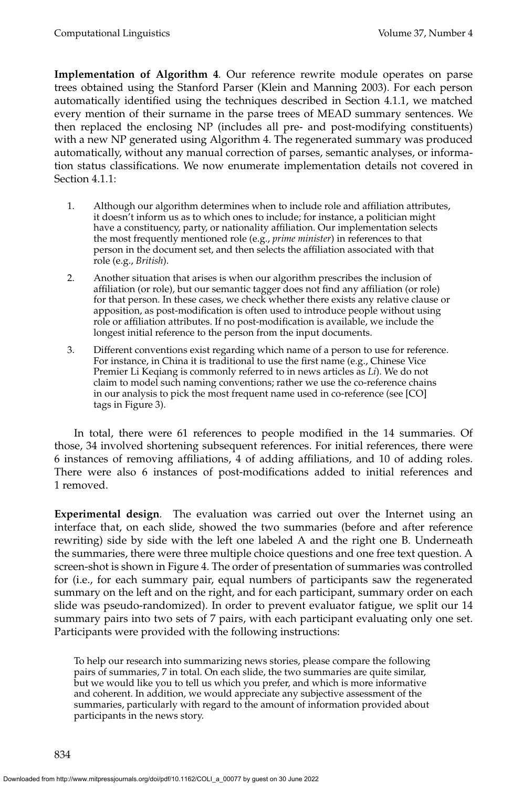**Implementation of Algorithm 4***.* Our reference rewrite module operates on parse trees obtained using the Stanford Parser (Klein and Manning 2003). For each person automatically identified using the techniques described in Section 4.1.1, we matched every mention of their surname in the parse trees of MEAD summary sentences. We then replaced the enclosing NP (includes all pre- and post-modifying constituents) with a new NP generated using Algorithm 4. The regenerated summary was produced automatically, without any manual correction of parses, semantic analyses, or information status classifications. We now enumerate implementation details not covered in Section 4.1.1:

- 1. Although our algorithm determines when to include role and affiliation attributes, it doesn't inform us as to which ones to include; for instance, a politician might have a constituency, party, or nationality affiliation. Our implementation selects the most frequently mentioned role (e.g., *prime minister*) in references to that person in the document set, and then selects the affiliation associated with that role (e.g., *British*).
- 2. Another situation that arises is when our algorithm prescribes the inclusion of affiliation (or role), but our semantic tagger does not find any affiliation (or role) for that person. In these cases, we check whether there exists any relative clause or apposition, as post-modification is often used to introduce people without using role or affiliation attributes. If no post-modification is available, we include the longest initial reference to the person from the input documents.
- 3. Different conventions exist regarding which name of a person to use for reference. For instance, in China it is traditional to use the first name (e.g., Chinese Vice Premier Li Keqiang is commonly referred to in news articles as *Li*). We do not claim to model such naming conventions; rather we use the co-reference chains in our analysis to pick the most frequent name used in co-reference (see [CO] tags in Figure 3).

In total, there were 61 references to people modified in the 14 summaries. Of those, 34 involved shortening subsequent references. For initial references, there were 6 instances of removing affiliations, 4 of adding affiliations, and 10 of adding roles. There were also 6 instances of post-modifications added to initial references and 1 removed.

**Experimental design***.* The evaluation was carried out over the Internet using an interface that, on each slide, showed the two summaries (before and after reference rewriting) side by side with the left one labeled A and the right one B. Underneath the summaries, there were three multiple choice questions and one free text question. A screen-shot is shown in Figure 4. The order of presentation of summaries was controlled for (i.e., for each summary pair, equal numbers of participants saw the regenerated summary on the left and on the right, and for each participant, summary order on each slide was pseudo-randomized). In order to prevent evaluator fatigue, we split our 14 summary pairs into two sets of 7 pairs, with each participant evaluating only one set. Participants were provided with the following instructions:

To help our research into summarizing news stories, please compare the following pairs of summaries, 7 in total. On each slide, the two summaries are quite similar, but we would like you to tell us which you prefer, and which is more informative and coherent. In addition, we would appreciate any subjective assessment of the summaries, particularly with regard to the amount of information provided about participants in the news story.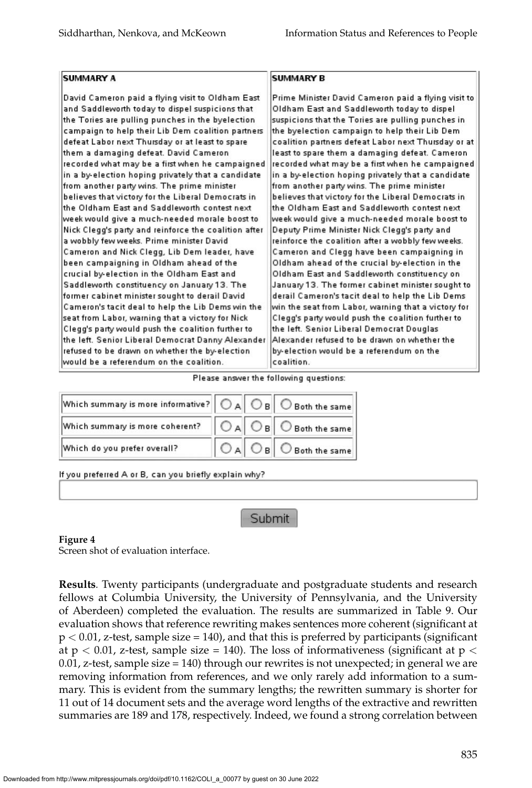| <b>SUMMARY A</b>                                     | <b>SUMMARY B</b>                                    |
|------------------------------------------------------|-----------------------------------------------------|
| David Cameron paid a flying visit to Oldham East     | Prime Minister David Cameron paid a flying visit to |
| and Saddleworth today to dispel suspicions that      | Oldham East and Saddleworth today to dispel         |
| the Tories are pulling punches in the byelection     | suspicions that the Tories are pulling punches in   |
| campaign to help their Lib Dem coalition partners    | the byelection campaign to help their Lib Dem       |
| defeat Labor next Thursday or at least to spare      | coalition partners defeat Labor next Thursday or at |
| them a damaging defeat. David Cameron                | least to spare them a damaging defeat. Cameron      |
| recorded what may be a first when he campaigned      | recorded what may be a first when he campaigned     |
| in a by-election hoping privately that a candidate   | in a by-election hoping privately that a candidate  |
| from another party wins. The prime minister          | from another party wins. The prime minister         |
| believes that victory for the Liberal Democrats in   | believes that victory for the Liberal Democrats in  |
| the Oldham East and Saddleworth contest next         | the Oldham East and Saddleworth contest next        |
| week would give a much-needed morale boost to        | week would give a much-needed morale boost to       |
| Nick Clegg's party and reinforce the coalition after | Deputy Prime Minister Nick Clegg's party and        |
| a wobbly few weeks. Prime minister David             | reinforce the coalition after a wobbly few weeks.   |
| Cameron and Nick Clegg, Lib Dem leader, have         | Cameron and Clegg have been campaigning in          |
| been campaigning in Oldham ahead of the              | Oldham ahead of the crucial by election in the      |
| crucial by-election in the Oldham East and           | Oldham East and Saddleworth constituency on         |
| Saddleworth constituency on January 13. The          | January 13. The former cabinet minister sought to   |
| former cabinet minister sought to derail David       | derail Cameron's tacit deal to help the Lib Dems    |
| Cameron's tacit deal to help the Lib Dems win the    | win the seat from Labor, warning that a victory for |
| seat from Labor, warning that a victory for Nick     | Clegg's party would push the coalition further to   |
| Clegg's party would push the coalition further to    | the left. Senior Liberal Democrat Douglas           |
| the left. Senior Liberal Democrat Danny Alexander    | Alexander refused to be drawn on whether the        |
| refused to be drawn on whether the by-election       | by-election would be a referendum on the            |
| would be a referendum on the coalition.              | coalition.                                          |

Please answer the following questions:



If you preferred A or B, can you briefly explain why?

Submit

#### **Figure 4**

Screen shot of evaluation interface.

**Results***.* Twenty participants (undergraduate and postgraduate students and research fellows at Columbia University, the University of Pennsylvania, and the University of Aberdeen) completed the evaluation. The results are summarized in Table 9. Our evaluation shows that reference rewriting makes sentences more coherent (significant at  $p < 0.01$ , z-test, sample size = 140), and that this is preferred by participants (significant at  $p < 0.01$ , z-test, sample size = 140). The loss of informativeness (significant at  $p <$  $0.01$ , z-test, sample size = 140) through our rewrites is not unexpected; in general we are removing information from references, and we only rarely add information to a summary. This is evident from the summary lengths; the rewritten summary is shorter for 11 out of 14 document sets and the average word lengths of the extractive and rewritten summaries are 189 and 178, respectively. Indeed, we found a strong correlation between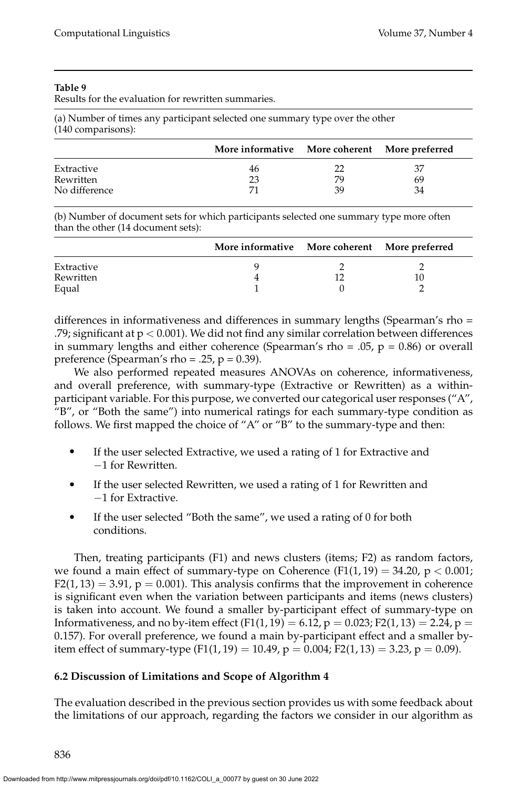Results for the evaluation for rewritten summaries.

(a) Number of times any participant selected one summary type over the other (140 comparisons):

|               | More informative More coherent More preferred |    |    |
|---------------|-----------------------------------------------|----|----|
| Extractive    | 46                                            |    | 37 |
| Rewritten     | 23                                            | 79 | 69 |
| No difference |                                               | 39 | 34 |

(b) Number of document sets for which participants selected one summary type more often than the other (14 document sets):

|            | More informative More coherent More preferred |  |
|------------|-----------------------------------------------|--|
| Extractive |                                               |  |
| Rewritten  |                                               |  |
| Equal      |                                               |  |

differences in informativeness and differences in summary lengths (Spearman's rho = .79; significant at  $p < 0.001$ ). We did not find any similar correlation between differences in summary lengths and either coherence (Spearman's rho = .05,  $p = 0.86$ ) or overall preference (Spearman's rho = .25,  $p = 0.39$ ).

We also performed repeated measures ANOVAs on coherence, informativeness, and overall preference, with summary-type (Extractive or Rewritten) as a withinparticipant variable. For this purpose, we converted our categorical user responses ("A", "B", or "Both the same") into numerical ratings for each summary-type condition as follows. We first mapped the choice of "A" or "B" to the summary-type and then:

- - If the user selected Extractive, we used a rating of 1 for Extractive and −1 for Rewritten.
- - If the user selected Rewritten, we used a rating of 1 for Rewritten and −1 for Extractive.
- - If the user selected "Both the same", we used a rating of 0 for both conditions.

Then, treating participants (F1) and news clusters (items; F2) as random factors, we found a main effect of summary-type on Coherence  $(F1(1, 19) = 34.20, p < 0.001;$  $F2(1, 13) = 3.91$ ,  $p = 0.001$ ). This analysis confirms that the improvement in coherence is significant even when the variation between participants and items (news clusters) is taken into account. We found a smaller by-participant effect of summary-type on Informativeness, and no by-item effect  $(F1(1, 19) = 6.12, p = 0.023; F2(1, 13) = 2.24, p =$ 0.157). For overall preference, we found a main by-participant effect and a smaller byitem effect of summary-type  $(F1(1, 19) = 10.49, p = 0.004; F2(1, 13) = 3.23, p = 0.09)$ .

# **6.2 Discussion of Limitations and Scope of Algorithm 4**

The evaluation described in the previous section provides us with some feedback about the limitations of our approach, regarding the factors we consider in our algorithm as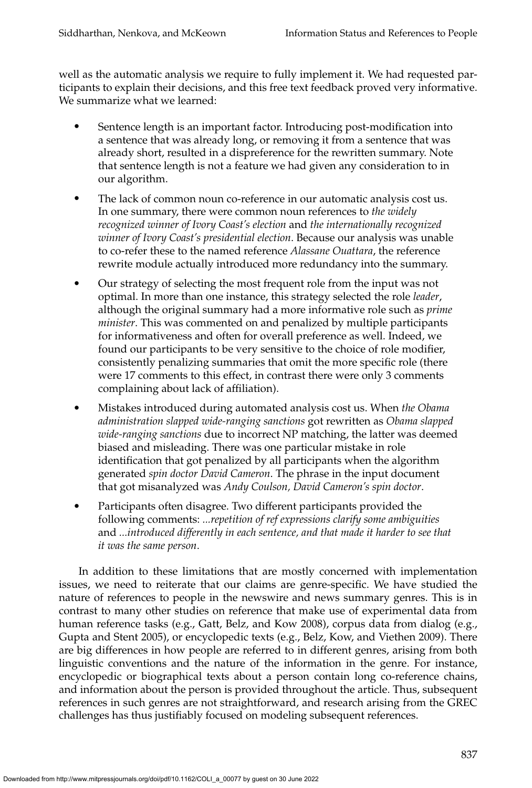well as the automatic analysis we require to fully implement it. We had requested participants to explain their decisions, and this free text feedback proved very informative. We summarize what we learned:

- - Sentence length is an important factor. Introducing post-modification into a sentence that was already long, or removing it from a sentence that was already short, resulted in a dispreference for the rewritten summary. Note that sentence length is not a feature we had given any consideration to in our algorithm.
- - The lack of common noun co-reference in our automatic analysis cost us. In one summary, there were common noun references to *the widely recognized winner of Ivory Coast's election* and *the internationally recognized winner of Ivory Coast's presidential election*. Because our analysis was unable to co-refer these to the named reference *Alassane Ouattara*, the reference rewrite module actually introduced more redundancy into the summary.
- $\bullet$  Our strategy of selecting the most frequent role from the input was not optimal. In more than one instance, this strategy selected the role *leader*, although the original summary had a more informative role such as *prime minister*. This was commented on and penalized by multiple participants for informativeness and often for overall preference as well. Indeed, we found our participants to be very sensitive to the choice of role modifier, consistently penalizing summaries that omit the more specific role (there were 17 comments to this effect, in contrast there were only 3 comments complaining about lack of affiliation).
- - Mistakes introduced during automated analysis cost us. When *the Obama administration slapped wide-ranging sanctions* got rewritten as *Obama slapped wide-ranging sanctions* due to incorrect NP matching, the latter was deemed biased and misleading. There was one particular mistake in role identification that got penalized by all participants when the algorithm generated *spin doctor David Cameron*. The phrase in the input document that got misanalyzed was *Andy Coulson, David Cameron's spin doctor*.
- - Participants often disagree. Two different participants provided the following comments: *...repetition of ref expressions clarify some ambiguities* and *...introduced differently in each sentence, and that made it harder to see that it was the same person*.

In addition to these limitations that are mostly concerned with implementation issues, we need to reiterate that our claims are genre-specific. We have studied the nature of references to people in the newswire and news summary genres. This is in contrast to many other studies on reference that make use of experimental data from human reference tasks (e.g., Gatt, Belz, and Kow 2008), corpus data from dialog (e.g., Gupta and Stent 2005), or encyclopedic texts (e.g., Belz, Kow, and Viethen 2009). There are big differences in how people are referred to in different genres, arising from both linguistic conventions and the nature of the information in the genre. For instance, encyclopedic or biographical texts about a person contain long co-reference chains, and information about the person is provided throughout the article. Thus, subsequent references in such genres are not straightforward, and research arising from the GREC challenges has thus justifiably focused on modeling subsequent references.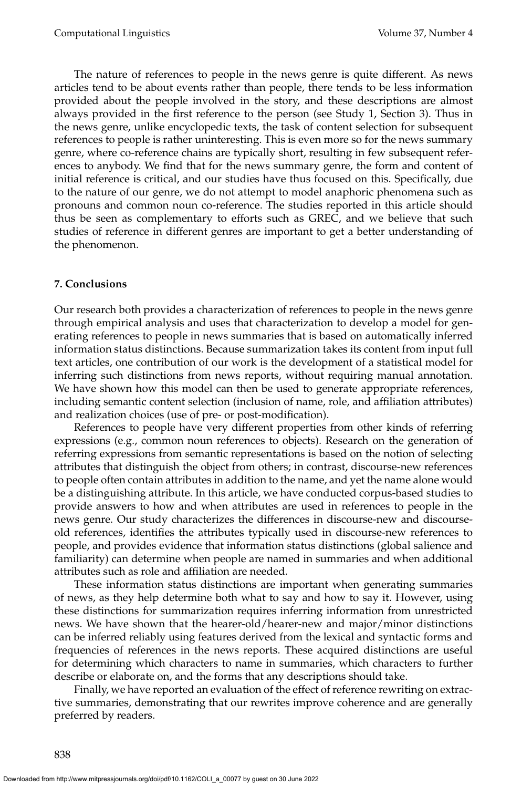The nature of references to people in the news genre is quite different. As news articles tend to be about events rather than people, there tends to be less information provided about the people involved in the story, and these descriptions are almost always provided in the first reference to the person (see Study 1, Section 3). Thus in the news genre, unlike encyclopedic texts, the task of content selection for subsequent references to people is rather uninteresting. This is even more so for the news summary genre, where co-reference chains are typically short, resulting in few subsequent references to anybody. We find that for the news summary genre, the form and content of initial reference is critical, and our studies have thus focused on this. Specifically, due to the nature of our genre, we do not attempt to model anaphoric phenomena such as pronouns and common noun co-reference. The studies reported in this article should thus be seen as complementary to efforts such as GREC, and we believe that such studies of reference in different genres are important to get a better understanding of the phenomenon.

#### **7. Conclusions**

Our research both provides a characterization of references to people in the news genre through empirical analysis and uses that characterization to develop a model for generating references to people in news summaries that is based on automatically inferred information status distinctions. Because summarization takes its content from input full text articles, one contribution of our work is the development of a statistical model for inferring such distinctions from news reports, without requiring manual annotation. We have shown how this model can then be used to generate appropriate references, including semantic content selection (inclusion of name, role, and affiliation attributes) and realization choices (use of pre- or post-modification).

References to people have very different properties from other kinds of referring expressions (e.g., common noun references to objects). Research on the generation of referring expressions from semantic representations is based on the notion of selecting attributes that distinguish the object from others; in contrast, discourse-new references to people often contain attributes in addition to the name, and yet the name alone would be a distinguishing attribute. In this article, we have conducted corpus-based studies to provide answers to how and when attributes are used in references to people in the news genre. Our study characterizes the differences in discourse-new and discourseold references, identifies the attributes typically used in discourse-new references to people, and provides evidence that information status distinctions (global salience and familiarity) can determine when people are named in summaries and when additional attributes such as role and affiliation are needed.

These information status distinctions are important when generating summaries of news, as they help determine both what to say and how to say it. However, using these distinctions for summarization requires inferring information from unrestricted news. We have shown that the hearer-old/hearer-new and major/minor distinctions can be inferred reliably using features derived from the lexical and syntactic forms and frequencies of references in the news reports. These acquired distinctions are useful for determining which characters to name in summaries, which characters to further describe or elaborate on, and the forms that any descriptions should take.

Finally, we have reported an evaluation of the effect of reference rewriting on extractive summaries, demonstrating that our rewrites improve coherence and are generally preferred by readers.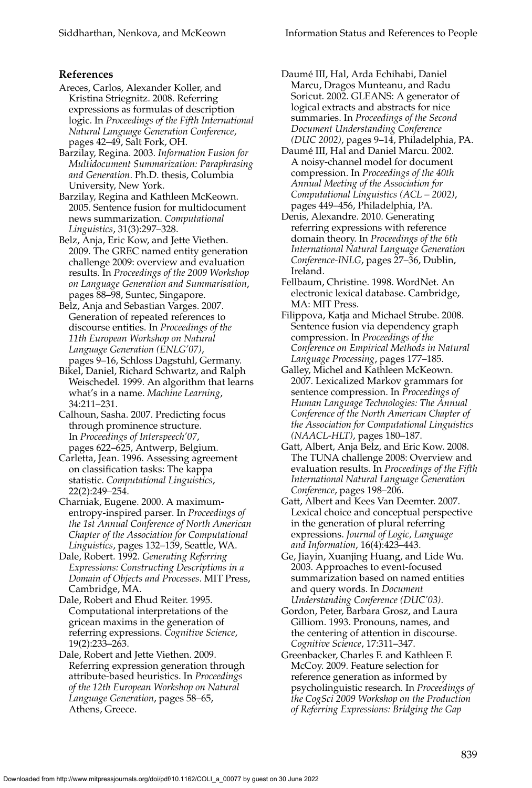## **References**

- Areces, Carlos, Alexander Koller, and Kristina Striegnitz. 2008. Referring expressions as formulas of description logic. In *Proceedings of the Fifth International Natural Language Generation Conference*, pages 42–49, Salt Fork, OH.
- Barzilay, Regina. 2003. *Information Fusion for Multidocument Summarization: Paraphrasing and Generation*. Ph.D. thesis, Columbia University, New York.
- Barzilay, Regina and Kathleen McKeown. 2005. Sentence fusion for multidocument news summarization. *Computational Linguistics*, 31(3):297–328.
- Belz, Anja, Eric Kow, and Jette Viethen. 2009. The GREC named entity generation challenge 2009: overview and evaluation results. In *Proceedings of the 2009 Workshop on Language Generation and Summarisation*, pages 88–98, Suntec, Singapore.
- Belz, Anja and Sebastian Varges. 2007. Generation of repeated references to discourse entities. In *Proceedings of the 11th European Workshop on Natural Language Generation (ENLG'07)*, pages 9–16, Schloss Dagstuhl, Germany.
- Bikel, Daniel, Richard Schwartz, and Ralph Weischedel. 1999. An algorithm that learns what's in a name. *Machine Learning*, 34:211–231.
- Calhoun, Sasha. 2007. Predicting focus through prominence structure. In *Proceedings of Interspeech'07*, pages 622–625, Antwerp, Belgium.
- Carletta, Jean. 1996. Assessing agreement on classification tasks: The kappa statistic. *Computational Linguistics*, 22(2):249–254.
- Charniak, Eugene. 2000. A maximumentropy-inspired parser. In *Proceedings of the 1st Annual Conference of North American Chapter of the Association for Computational Linguistics*, pages 132–139, Seattle, WA.
- Dale, Robert. 1992. *Generating Referring Expressions: Constructing Descriptions in a Domain of Objects and Processes*. MIT Press, Cambridge, MA.
- Dale, Robert and Ehud Reiter. 1995. Computational interpretations of the gricean maxims in the generation of referring expressions. *Cognitive Science*, 19(2):233–263.
- Dale, Robert and Jette Viethen. 2009. Referring expression generation through attribute-based heuristics. In *Proceedings of the 12th European Workshop on Natural Language Generation*, pages 58–65, Athens, Greece.
- Daumé III, Hal, Arda Echihabi, Daniel Marcu, Dragos Munteanu, and Radu Soricut. 2002. GLEANS: A generator of logical extracts and abstracts for nice summaries. In *Proceedings of the Second Document Understanding Conference (DUC 2002)*, pages 9–14, Philadelphia, PA.
- Daumé III, Hal and Daniel Marcu. 2002. A noisy-channel model for document compression. In *Proceedings of the 40th Annual Meeting of the Association for Computational Linguistics (ACL – 2002)*, pages 449–456, Philadelphia, PA.
- Denis, Alexandre. 2010. Generating referring expressions with reference domain theory. In *Proceedings of the 6th International Natural Language Generation Conference-INLG*, pages 27–36, Dublin, Ireland.
- Fellbaum, Christine. 1998. WordNet. An electronic lexical database. Cambridge, MA: MIT Press.
- Filippova, Katja and Michael Strube. 2008. Sentence fusion via dependency graph compression. In *Proceedings of the Conference on Empirical Methods in Natural Language Processing*, pages 177–185.
- Galley, Michel and Kathleen McKeown. 2007. Lexicalized Markov grammars for sentence compression. In *Proceedings of Human Language Technologies: The Annual Conference of the North American Chapter of the Association for Computational Linguistics (NAACL-HLT)*, pages 180–187.
- Gatt, Albert, Anja Belz, and Eric Kow. 2008. The TUNA challenge 2008: Overview and evaluation results. In *Proceedings of the Fifth International Natural Language Generation Conference*, pages 198–206.
- Gatt, Albert and Kees Van Deemter. 2007. Lexical choice and conceptual perspective in the generation of plural referring expressions. *Journal of Logic, Language and Information*, 16(4):423–443.
- Ge, Jiayin, Xuanjing Huang, and Lide Wu. 2003. Approaches to event-focused summarization based on named entities and query words. In *Document Understanding Conference (DUC'03)*.
- Gordon, Peter, Barbara Grosz, and Laura Gilliom. 1993. Pronouns, names, and the centering of attention in discourse. *Cognitive Science*, 17:311–347.
- Greenbacker, Charles F. and Kathleen F. McCoy. 2009. Feature selection for reference generation as informed by psycholinguistic research. In *Proceedings of the CogSci 2009 Workshop on the Production of Referring Expressions: Bridging the Gap*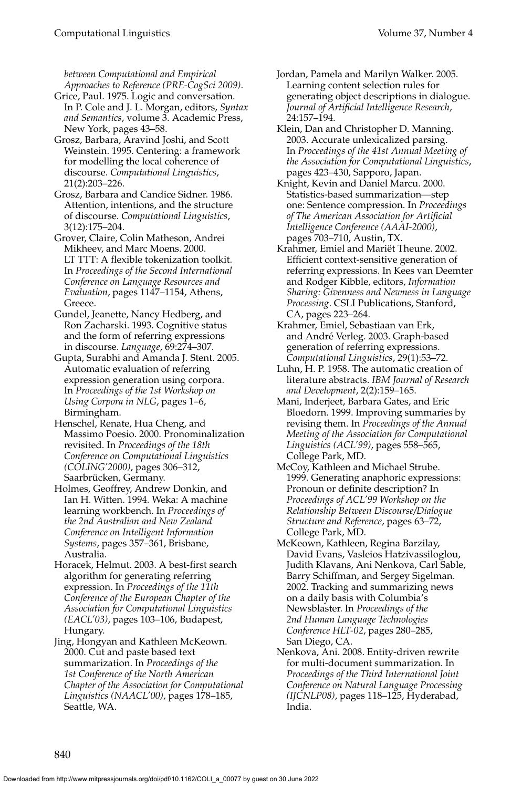*between Computational and Empirical Approaches to Reference (PRE-CogSci 2009)*.

- Grice, Paul. 1975. Logic and conversation. In P. Cole and J. L. Morgan, editors, *Syntax and Semantics*, volume 3. Academic Press, New York, pages 43–58.
- Grosz, Barbara, Aravind Joshi, and Scott Weinstein. 1995. Centering: a framework for modelling the local coherence of discourse. *Computational Linguistics*, 21(2):203–226.
- Grosz, Barbara and Candice Sidner. 1986. Attention, intentions, and the structure of discourse. *Computational Linguistics*, 3(12):175–204.
- Grover, Claire, Colin Matheson, Andrei Mikheev, and Marc Moens. 2000. LT TTT: A flexible tokenization toolkit. In *Proceedings of the Second International Conference on Language Resources and Evaluation*, pages 1147–1154, Athens, Greece.
- Gundel, Jeanette, Nancy Hedberg, and Ron Zacharski. 1993. Cognitive status and the form of referring expressions in discourse. *Language*, 69:274–307.

Gupta, Surabhi and Amanda J. Stent. 2005. Automatic evaluation of referring expression generation using corpora. In *Proceedings of the 1st Workshop on Using Corpora in NLG*, pages 1–6, Birmingham.

- Henschel, Renate, Hua Cheng, and Massimo Poesio. 2000. Pronominalization revisited. In *Proceedings of the 18th Conference on Computational Linguistics (COLING'2000)*, pages 306–312, Saarbrücken, Germany.
- Holmes, Geoffrey, Andrew Donkin, and Ian H. Witten. 1994. Weka: A machine learning workbench. In *Proceedings of the 2nd Australian and New Zealand Conference on Intelligent Information Systems*, pages 357–361, Brisbane, Australia.
- Horacek, Helmut. 2003. A best-first search algorithm for generating referring expression. In *Proceedings of the 11th Conference of the European Chapter of the Association for Computational Linguistics (EACL'03)*, pages 103–106, Budapest, Hungary.

Jing, Hongyan and Kathleen McKeown. 2000. Cut and paste based text summarization. In *Proceedings of the 1st Conference of the North American Chapter of the Association for Computational Linguistics (NAACL'00)*, pages 178–185, Seattle, WA.

- Jordan, Pamela and Marilyn Walker. 2005. Learning content selection rules for generating object descriptions in dialogue. *Journal of Artificial Intelligence Research*, 24:157–194.
- Klein, Dan and Christopher D. Manning. 2003. Accurate unlexicalized parsing. In *Proceedings of the 41st Annual Meeting of the Association for Computational Linguistics*, pages 423–430, Sapporo, Japan.
- Knight, Kevin and Daniel Marcu. 2000. Statistics-based summarization—step one: Sentence compression. In *Proceedings of The American Association for Artificial Intelligence Conference (AAAI-2000)*, pages 703–710, Austin, TX.
- Krahmer, Emiel and Mariët Theune. 2002. Efficient context-sensitive generation of referring expressions. In Kees van Deemter and Rodger Kibble, editors, *Information Sharing: Givenness and Newness in Language Processing*. CSLI Publications, Stanford, CA, pages 223–264.
- Krahmer, Emiel, Sebastiaan van Erk, and André Verleg. 2003. Graph-based generation of referring expressions. *Computational Linguistics*, 29(1):53–72.
- Luhn, H. P. 1958. The automatic creation of literature abstracts. *IBM Journal of Research and Development*, 2(2):159–165.
- Mani, Inderjeet, Barbara Gates, and Eric Bloedorn. 1999. Improving summaries by revising them. In *Proceedings of the Annual Meeting of the Association for Computational Linguistics (ACL'99)*, pages 558–565, College Park, MD.
- McCoy, Kathleen and Michael Strube. 1999. Generating anaphoric expressions: Pronoun or definite description? In *Proceedings of ACL'99 Workshop on the Relationship Between Discourse/Dialogue Structure and Reference*, pages 63–72, College Park, MD.
- McKeown, Kathleen, Regina Barzilay, David Evans, Vasleios Hatzivassiloglou, Judith Klavans, Ani Nenkova, Carl Sable, Barry Schiffman, and Sergey Sigelman. 2002. Tracking and summarizing news on a daily basis with Columbia's Newsblaster. In *Proceedings of the 2nd Human Language Technologies Conference HLT-02*, pages 280–285, San Diego, CA.
- Nenkova, Ani. 2008. Entity-driven rewrite for multi-document summarization. In *Proceedings of the Third International Joint Conference on Natural Language Processing (IJCNLP08)*, pages 118–125, Hyderabad, India.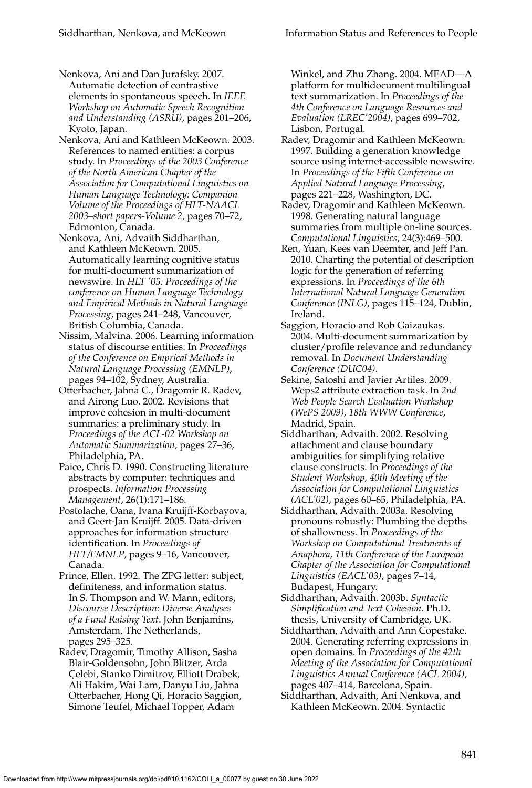- Nenkova, Ani and Dan Jurafsky. 2007. Automatic detection of contrastive elements in spontaneous speech. In *IEEE Workshop on Automatic Speech Recognition and Understanding (ASRU)*, pages 201–206, Kyoto, Japan.
- Nenkova, Ani and Kathleen McKeown. 2003. References to named entities: a corpus study. In *Proceedings of the 2003 Conference of the North American Chapter of the Association for Computational Linguistics on Human Language Technology: Companion Volume of the Proceedings of HLT-NAACL 2003–short papers-Volume 2*, pages 70–72, Edmonton, Canada.
- Nenkova, Ani, Advaith Siddharthan, and Kathleen McKeown. 2005. Automatically learning cognitive status for multi-document summarization of newswire. In *HLT '05: Proceedings of the conference on Human Language Technology and Empirical Methods in Natural Language Processing*, pages 241–248, Vancouver, British Columbia, Canada.
- Nissim, Malvina. 2006. Learning information status of discourse entities. In *Proceedings of the Conference on Emprical Methods in Natural Language Processing (EMNLP)*, pages 94–102, Sydney, Australia.
- Otterbacher, Jahna C., Dragomir R. Radev, and Airong Luo. 2002. Revisions that improve cohesion in multi-document summaries: a preliminary study. In *Proceedings of the ACL-02 Workshop on Automatic Summarization*, pages 27–36, Philadelphia, PA.
- Paice, Chris D. 1990. Constructing literature abstracts by computer: techniques and prospects. *Information Processing Management*, 26(1):171–186.
- Postolache, Oana, Ivana Kruijff-Korbayova, and Geert-Jan Kruijff. 2005. Data-driven approaches for information structure identification. In *Proceedings of HLT/EMNLP*, pages 9–16, Vancouver, Canada.
- Prince, Ellen. 1992. The ZPG letter: subject, definiteness, and information status. In S. Thompson and W. Mann, editors, *Discourse Description: Diverse Analyses of a Fund Raising Text*. John Benjamins, Amsterdam, The Netherlands, pages 295–325.
- Radev, Dragomir, Timothy Allison, Sasha Blair-Goldensohn, John Blitzer, Arda Çelebi, Stanko Dimitrov, Elliott Drabek, Ali Hakim, Wai Lam, Danyu Liu, Jahna Otterbacher, Hong Qi, Horacio Saggion, Simone Teufel, Michael Topper, Adam

Winkel, and Zhu Zhang. 2004. MEAD—A platform for multidocument multilingual text summarization. In *Proceedings of the 4th Conference on Language Resources and Evaluation (LREC'2004)*, pages 699–702, Lisbon, Portugal.

- Radev, Dragomir and Kathleen McKeown. 1997. Building a generation knowledge source using internet-accessible newswire. In *Proceedings of the Fifth Conference on Applied Natural Language Processing*, pages 221–228, Washington, DC.
- Radev, Dragomir and Kathleen McKeown. 1998. Generating natural language summaries from multiple on-line sources. *Computational Linguistics*, 24(3):469–500.
- Ren, Yuan, Kees van Deemter, and Jeff Pan. 2010. Charting the potential of description logic for the generation of referring expressions. In *Proceedings of the 6th International Natural Language Generation Conference (INLG)*, pages 115–124, Dublin, Ireland.
- Saggion, Horacio and Rob Gaizaukas. 2004. Multi-document summarization by cluster/profile relevance and redundancy removal. In *Document Understanding Conference (DUC04)*.
- Sekine, Satoshi and Javier Artiles. 2009. Weps2 attribute extraction task. In *2nd Web People Search Evaluation Workshop (WePS 2009), 18th WWW Conference*, Madrid, Spain.
- Siddharthan, Advaith. 2002. Resolving attachment and clause boundary ambiguities for simplifying relative clause constructs. In *Proceedings of the Student Workshop, 40th Meeting of the Association for Computational Linguistics (ACL'02)*, pages 60–65, Philadelphia, PA.
- Siddharthan, Advaith. 2003a. Resolving pronouns robustly: Plumbing the depths of shallowness. In *Proceedings of the Workshop on Computational Treatments of Anaphora, 11th Conference of the European Chapter of the Association for Computational Linguistics (EACL'03)*, pages 7–14, Budapest, Hungary.
- Siddharthan, Advaith. 2003b. *Syntactic Simplification and Text Cohesion*. Ph.D. thesis, University of Cambridge, UK.
- Siddharthan, Advaith and Ann Copestake. 2004. Generating referring expressions in open domains. In *Proceedings of the 42th Meeting of the Association for Computational Linguistics Annual Conference (ACL 2004)*, pages 407–414, Barcelona, Spain.
- Siddharthan, Advaith, Ani Nenkova, and Kathleen McKeown. 2004. Syntactic